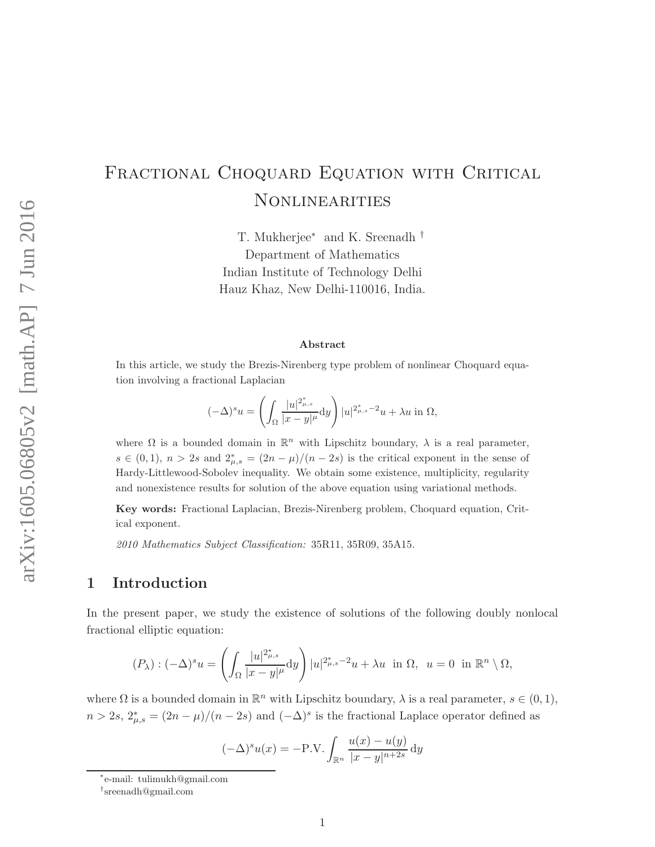# FRACTIONAL CHOQUARD EQUATION WITH CRITICAL **NONLINEARITIES**

T. Mukherjee<sup>∗</sup> and K. Sreenadh † Department of Mathematics Indian Institute of Technology Delhi Hauz Khaz, New Delhi-110016, India.

#### Abstract

In this article, we study the Brezis-Nirenberg type problem of nonlinear Choquard equation involving a fractional Laplacian

$$
(-\Delta)^s u = \left(\int_{\Omega} \frac{|u|^{2^*_{\mu,s}}}{|x-y|^{\mu}} dy\right) |u|^{2^*_{\mu,s}-2} u + \lambda u \text{ in } \Omega,
$$

where  $\Omega$  is a bounded domain in  $\mathbb{R}^n$  with Lipschitz boundary,  $\lambda$  is a real parameter,  $s \in (0,1), n > 2s$  and  $2^*_{\mu,s} = (2n - \mu)/(n - 2s)$  is the critical exponent in the sense of Hardy-Littlewood-Sobolev inequality. We obtain some existence, multiplicity, regularity and nonexistence results for solution of the above equation using variational methods.

Key words: Fractional Laplacian, Brezis-Nirenberg problem, Choquard equation, Critical exponent.

2010 Mathematics Subject Classification: 35R11, 35R09, 35A15.

# 1 Introduction

In the present paper, we study the existence of solutions of the following doubly nonlocal fractional elliptic equation:

$$
(P_\lambda): (-\Delta)^s u = \left( \int_{\Omega} \frac{|u|^{2^*_{\mu,s}}}{|x-y|^{\mu}} dy \right) |u|^{2^*_{\mu,s}-2} u + \lambda u \text{ in } \Omega, \ u = 0 \text{ in } \mathbb{R}^n \setminus \Omega,
$$

where  $\Omega$  is a bounded domain in  $\mathbb{R}^n$  with Lipschitz boundary,  $\lambda$  is a real parameter,  $s \in (0,1)$ ,  $n > 2s$ ,  $2^*_{\mu,s} = (2n - \mu)/(n - 2s)$  and  $(-\Delta)^s$  is the fractional Laplace operator defined as

$$
(-\Delta)^s u(x) = -\mathbf{P}.\mathbf{V}.\int_{\mathbb{R}^n} \frac{u(x) - u(y)}{|x - y|^{n+2s}} dy
$$

<sup>∗</sup> e-mail: tulimukh@gmail.com

<sup>†</sup> sreenadh@gmail.com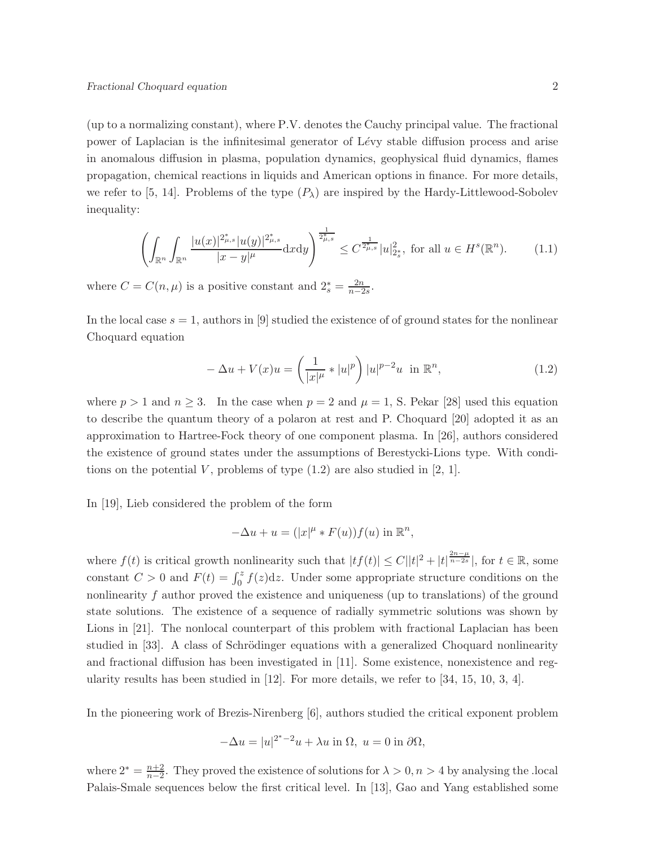(up to a normalizing constant), where P.V. denotes the Cauchy principal value. The fractional power of Laplacian is the infinitesimal generator of Lévy stable diffusion process and arise in anomalous diffusion in plasma, population dynamics, geophysical fluid dynamics, flames propagation, chemical reactions in liquids and American options in finance. For more details, we refer to [5, 14]. Problems of the type  $(P_\lambda)$  are inspired by the Hardy-Littlewood-Sobolev inequality:

$$
\left(\int_{\mathbb{R}^n} \int_{\mathbb{R}^n} \frac{|u(x)|^{2_{\mu,s}^*} |u(y)|^{2_{\mu,s}^*}}{|x-y|^{\mu}} dx dy\right)^{\frac{1}{2_{\mu,s}^*}} \leq C^{\frac{1}{2_{\mu,s}^*}} |u|_{2_s^*}^2, \text{ for all } u \in H^s(\mathbb{R}^n). \tag{1.1}
$$

where  $C = C(n, \mu)$  is a positive constant and  $2_s^* = \frac{2n}{n-2}$  $\frac{2n}{n-2s}$ .

In the local case  $s = 1$ , authors in [9] studied the existence of of ground states for the nonlinear Choquard equation

$$
-\Delta u + V(x)u = \left(\frac{1}{|x|^{\mu}} * |u|^p\right)|u|^{p-2}u \text{ in } \mathbb{R}^n,
$$
\n(1.2)

where  $p > 1$  and  $n \ge 3$ . In the case when  $p = 2$  and  $\mu = 1$ , S. Pekar [28] used this equation to describe the quantum theory of a polaron at rest and P. Choquard [20] adopted it as an approximation to Hartree-Fock theory of one component plasma. In [26], authors considered the existence of ground states under the assumptions of Berestycki-Lions type. With conditions on the potential V, problems of type  $(1.2)$  are also studied in  $[2, 1]$ .

In [19], Lieb considered the problem of the form

$$
-\Delta u + u = (|x|^{\mu} * F(u))f(u) \text{ in } \mathbb{R}^n,
$$

where  $f(t)$  is critical growth nonlinearity such that  $|tf(t)| \leq C ||t|^2 + |t|^{\frac{2n-\mu}{n-2s}}|$ , for  $t \in \mathbb{R}$ , some constant  $C > 0$  and  $F(t) = \int_0^z f(z) dz$ . Under some appropriate structure conditions on the nonlinearity  $f$  author proved the existence and uniqueness (up to translations) of the ground state solutions. The existence of a sequence of radially symmetric solutions was shown by Lions in [21]. The nonlocal counterpart of this problem with fractional Laplacian has been studied in [33]. A class of Schrödinger equations with a generalized Choquard nonlinearity and fractional diffusion has been investigated in [11]. Some existence, nonexistence and regularity results has been studied in [12]. For more details, we refer to [34, 15, 10, 3, 4].

In the pioneering work of Brezis-Nirenberg [6], authors studied the critical exponent problem

$$
-\Delta u = |u|^{2^*-2}u + \lambda u \text{ in } \Omega, u = 0 \text{ in } \partial\Omega,
$$

where  $2^* = \frac{n+2}{n-2}$  $\frac{n+2}{n-2}$ . They proved the existence of solutions for  $\lambda > 0, n > 4$  by analysing the .local Palais-Smale sequences below the first critical level. In [13], Gao and Yang established some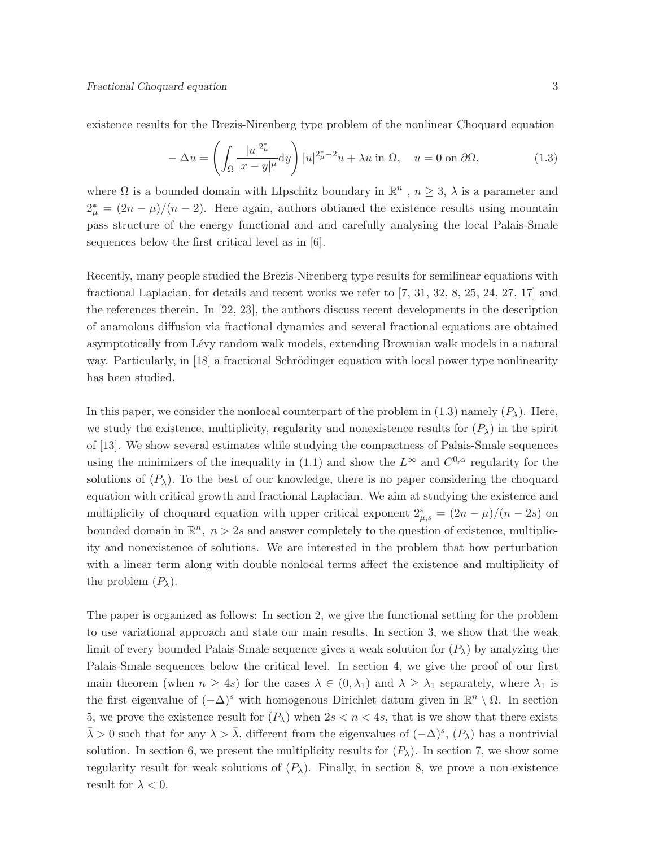existence results for the Brezis-Nirenberg type problem of the nonlinear Choquard equation

$$
-\Delta u = \left(\int_{\Omega} \frac{|u|^{2_{\mu}^*}}{|x - y|^{\mu}} dy\right) |u|^{2_{\mu}^* - 2} u + \lambda u \text{ in } \Omega, \quad u = 0 \text{ on } \partial\Omega,
$$
\n(1.3)

where  $\Omega$  is a bounded domain with LIpschitz boundary in  $\mathbb{R}^n$ ,  $n \geq 3$ ,  $\lambda$  is a parameter and  $2^*_{\mu} = (2n - \mu)/(n - 2)$ . Here again, authors obtianed the existence results using mountain pass structure of the energy functional and and carefully analysing the local Palais-Smale sequences below the first critical level as in [6].

Recently, many people studied the Brezis-Nirenberg type results for semilinear equations with fractional Laplacian, for details and recent works we refer to [7, 31, 32, 8, 25, 24, 27, 17] and the references therein. In [22, 23], the authors discuss recent developments in the description of anamolous diffusion via fractional dynamics and several fractional equations are obtained asymptotically from Lévy random walk models, extending Brownian walk models in a natural way. Particularly, in [18] a fractional Schrödinger equation with local power type nonlinearity has been studied.

In this paper, we consider the nonlocal counterpart of the problem in (1.3) namely  $(P_\lambda)$ . Here, we study the existence, multiplicity, regularity and nonexistence results for  $(P_\lambda)$  in the spirit of [13]. We show several estimates while studying the compactness of Palais-Smale sequences using the minimizers of the inequality in (1.1) and show the  $L^{\infty}$  and  $C^{0,\alpha}$  regularity for the solutions of  $(P_\lambda)$ . To the best of our knowledge, there is no paper considering the choquard equation with critical growth and fractional Laplacian. We aim at studying the existence and multiplicity of choquard equation with upper critical exponent  $2^*_{\mu,s} = (2n - \mu)/(n - 2s)$  on bounded domain in  $\mathbb{R}^n$ ,  $n > 2s$  and answer completely to the question of existence, multiplicity and nonexistence of solutions. We are interested in the problem that how perturbation with a linear term along with double nonlocal terms affect the existence and multiplicity of the problem  $(P_\lambda)$ .

The paper is organized as follows: In section 2, we give the functional setting for the problem to use variational approach and state our main results. In section 3, we show that the weak limit of every bounded Palais-Smale sequence gives a weak solution for  $(P_\lambda)$  by analyzing the Palais-Smale sequences below the critical level. In section 4, we give the proof of our first main theorem (when  $n \geq 4s$ ) for the cases  $\lambda \in (0, \lambda_1)$  and  $\lambda \geq \lambda_1$  separately, where  $\lambda_1$  is the first eigenvalue of  $(-\Delta)^s$  with homogenous Dirichlet datum given in  $\mathbb{R}^n \setminus \Omega$ . In section 5, we prove the existence result for  $(P_\lambda)$  when  $2s < n < 4s$ , that is we show that there exists  $\bar{\lambda} > 0$  such that for any  $\lambda > \bar{\lambda}$ , different from the eigenvalues of  $(-\Delta)^s$ ,  $(P_{\lambda})$  has a nontrivial solution. In section 6, we present the multiplicity results for  $(P_\lambda)$ . In section 7, we show some regularity result for weak solutions of  $(P_\lambda)$ . Finally, in section 8, we prove a non-existence result for  $\lambda < 0$ .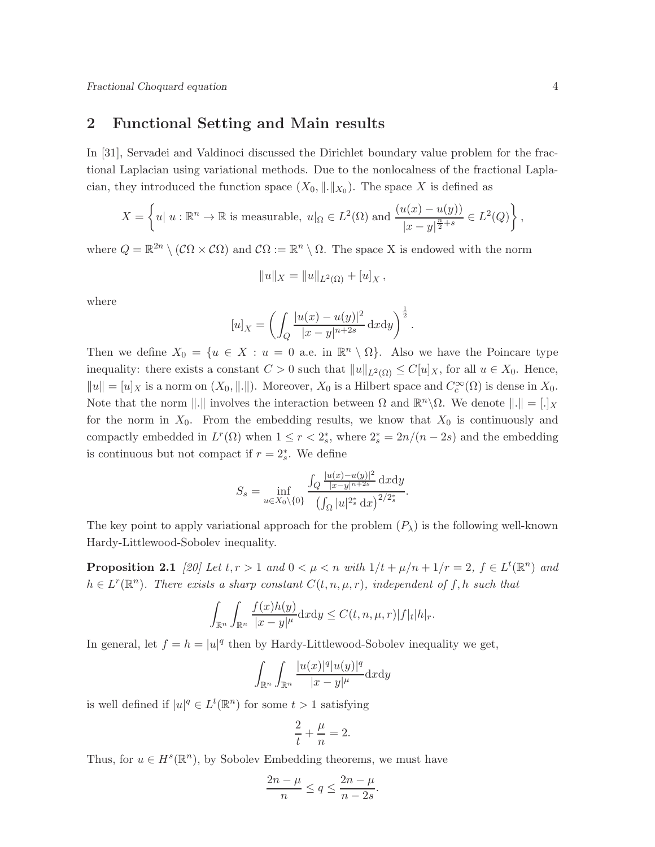## 2 Functional Setting and Main results

In [31], Servadei and Valdinoci discussed the Dirichlet boundary value problem for the fractional Laplacian using variational methods. Due to the nonlocalness of the fractional Laplacian, they introduced the function space  $(X_0, \|\cdot\|_{X_0})$ . The space X is defined as

$$
X = \left\{ u \mid u : \mathbb{R}^n \to \mathbb{R} \text{ is measurable}, \ u \mid_{\Omega} \in L^2(\Omega) \text{ and } \frac{(u(x) - u(y))}{|x - y|^{\frac{n}{2} + s}} \in L^2(Q) \right\},\
$$

where  $Q = \mathbb{R}^{2n} \setminus (\mathcal{C}\Omega \times \mathcal{C}\Omega)$  and  $\mathcal{C}\Omega := \mathbb{R}^n \setminus \Omega$ . The space X is endowed with the norm

$$
||u||_X = ||u||_{L^2(\Omega)} + [u]_X,
$$

where

$$
[u]_X = \left( \int_Q \frac{|u(x) - u(y)|^2}{|x - y|^{n+2s}} dx dy \right)^{\frac{1}{2}}.
$$

Then we define  $X_0 = \{u \in X : u = 0 \text{ a.e. in } \mathbb{R}^n \setminus \Omega\}.$  Also we have the Poincare type inequality: there exists a constant  $C > 0$  such that  $||u||_{L^2(\Omega)} \leq C[u]_X$ , for all  $u \in X_0$ . Hence,  $||u|| = [u]_X$  is a norm on  $(X_0, ||.||)$ . Moreover,  $X_0$  is a Hilbert space and  $C_c^{\infty}(\Omega)$  is dense in  $X_0$ . Note that the norm  $\|\cdot\|$  involves the interaction between  $\Omega$  and  $\mathbb{R}^n \setminus \Omega$ . We denote  $\|\cdot\| = [\cdot]_X$ for the norm in  $X_0$ . From the embedding results, we know that  $X_0$  is continuously and compactly embedded in  $L^r(\Omega)$  when  $1 \leq r < 2_s^*$ , where  $2_s^* = 2n/(n-2s)$  and the embedding is continuous but not compact if  $r = 2_s^*$ . We define

$$
S_s = \inf_{u \in X_0 \setminus \{0\}} \frac{\int_Q \frac{|u(x) - u(y)|^2}{|x - y|^{n + 2s}} \, \mathrm{d}x \mathrm{d}y}{\left(\int_{\Omega} |u|^{2^*_s} \, \mathrm{d}x\right)^{2/2^*_s}}.
$$

The key point to apply variational approach for the problem  $(P_\lambda)$  is the following well-known Hardy-Littlewood-Sobolev inequality.

**Proposition 2.1** [20] Let  $t, r > 1$  and  $0 < \mu < n$  with  $1/t + \mu/n + 1/r = 2$ ,  $f \in L^t(\mathbb{R}^n)$  and  $h \in L^r(\mathbb{R}^n)$ . There exists a sharp constant  $C(t, n, \mu, r)$ , independent of f, h such that

$$
\int_{\mathbb{R}^n} \int_{\mathbb{R}^n} \frac{f(x)h(y)}{|x-y|^{\mu}} dxdy \leq C(t, n, \mu, r)|f|_{t}|h|_{r}.
$$

In general, let  $f = h = |u|^q$  then by Hardy-Littlewood-Sobolev inequality we get,

$$
\int_{\mathbb{R}^n} \int_{\mathbb{R}^n} \frac{|u(x)|^q |u(y)|^q}{|x-y|^{\mu}} \mathrm{d}x \mathrm{d}y
$$

is well defined if  $|u|^q \in L^t(\mathbb{R}^n)$  for some  $t > 1$  satisfying

$$
\frac{2}{t} + \frac{\mu}{n} = 2.
$$

Thus, for  $u \in H^s(\mathbb{R}^n)$ , by Sobolev Embedding theorems, we must have

$$
\frac{2n-\mu}{n} \le q \le \frac{2n-\mu}{n-2s}.
$$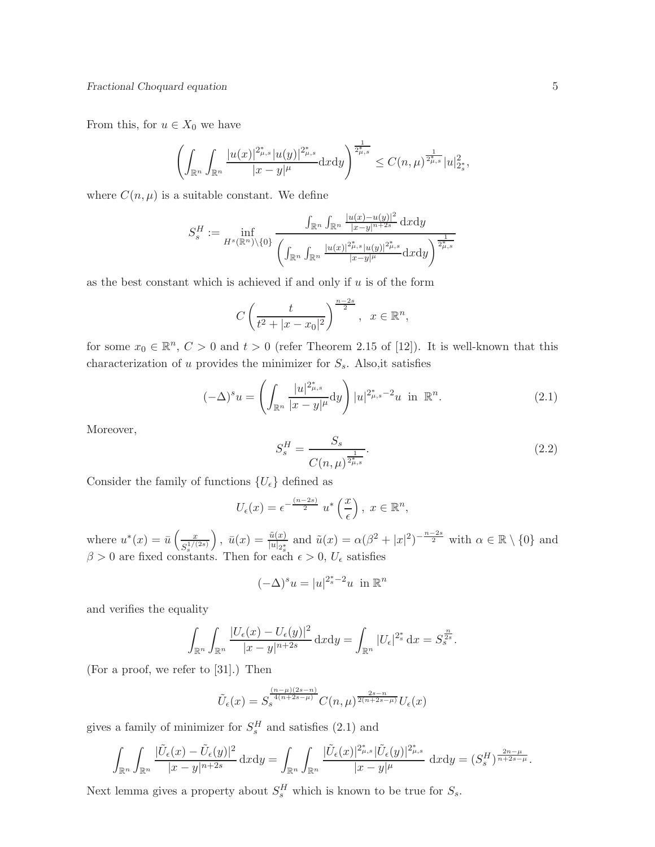From this, for  $u \in X_0$  we have

$$
\left(\int_{\mathbb{R}^n}\int_{\mathbb{R}^n}\frac{|u(x)|^{2_{\mu,s}^*}|u(y)|^{2_{\mu,s}^*}}{|x-y|^{\mu}}\mathrm{d}x\mathrm{d}y\right)^{\frac{1}{2_{\mu,s}^*}}\leq C(n,\mu)^{\frac{1}{2_{\mu,s}^*}}|u|_{2_s^*}^2,
$$

where  $C(n, \mu)$  is a suitable constant. We define

$$
S_s^H := \inf_{H^s(\mathbb{R}^n)\backslash\{0\}} \frac{\int_{\mathbb{R}^n} \int_{\mathbb{R}^n} \frac{|u(x)-u(y)|^2}{|x-y|^{n+2s}} dxdy}{\left(\int_{\mathbb{R}^n} \int_{\mathbb{R}^n} \frac{|u(x)|^{2\mu,s} |u(y)|^{2\mu,s}}{|x-y|^{\mu}} dxdy\right)^{\frac{1}{2\mu,s}}}
$$

as the best constant which is achieved if and only if  $u$  is of the form

$$
C\left(\frac{t}{t^2+|x-x_0|^2}\right)^{\frac{n-2s}{2}}, x \in \mathbb{R}^n
$$

for some  $x_0 \in \mathbb{R}^n$ ,  $C > 0$  and  $t > 0$  (refer Theorem 2.15 of [12]). It is well-known that this characterization of  $u$  provides the minimizer for  $S_s$ . Also,it satisfies

$$
(-\Delta)^s u = \left(\int_{\mathbb{R}^n} \frac{|u|^{2^*_{\mu,s}}}{|x-y|^{\mu}} dy\right) |u|^{2^*_{\mu,s}-2} u \text{ in } \mathbb{R}^n. \tag{2.1}
$$

Moreover,

$$
S_s^H = \frac{S_s}{C(n,\mu)^{\frac{1}{2^*_{\mu,s}}}}.\tag{2.2}
$$

Consider the family of functions  $\{U_{\epsilon}\}\$  defined as

$$
U_{\epsilon}(x) = \epsilon^{-\frac{(n-2s)}{2}} u^* \left(\frac{x}{\epsilon}\right), \ x \in \mathbb{R}^n,
$$

where  $u^*(x) = \bar{u} \left( \frac{x}{c^{1/3}} \right)$  $S^{1/(2s)}_s$ ),  $\bar{u}(x) = \frac{\tilde{u}(x)}{|u|_{2^*_{s_1}}}$  and  $\tilde{u}(x) = \alpha(\beta^2 + |x|^2)^{-\frac{n-2s}{2}}$  with  $\alpha \in \mathbb{R} \setminus \{0\}$  and  $\beta > 0$  are fixed constants. Then for each  $\epsilon > 0$ ,  $U_{\epsilon}$  satisfies

$$
(-\Delta)^s u = |u|^{2_s^*-2} u \text{ in } \mathbb{R}^n
$$

and verifies the equality

$$
\int_{\mathbb{R}^n} \int_{\mathbb{R}^n} \frac{|U_{\epsilon}(x) - U_{\epsilon}(y)|^2}{|x - y|^{n+2s}} dxdy = \int_{\mathbb{R}^n} |U_{\epsilon}|^{2_s^*} dx = S_s^{\frac{n}{2s}}.
$$

(For a proof, we refer to [31].) Then

$$
\tilde{U}_{\epsilon}(x) = S_{s}^{\frac{(n-\mu)(2s-n)}{4(n+2s-\mu)}} C(n,\mu)^{\frac{2s-n}{2(n+2s-\mu)}} U_{\epsilon}(x)
$$

gives a family of minimizer for  $S_s^H$  and satisfies (2.1) and

$$
\int_{\mathbb{R}^n} \int_{\mathbb{R}^n} \frac{|\tilde{U}_{\epsilon}(x) - \tilde{U}_{\epsilon}(y)|^2}{|x - y|^{n+2s}} dxdy = \int_{\mathbb{R}^n} \int_{\mathbb{R}^n} \frac{|\tilde{U}_{\epsilon}(x)|^{2\mu_{\epsilon,s}^*} |\tilde{U}_{\epsilon}(y)|^{2\mu_{\epsilon,s}^*}}{|x - y|^{\mu}} dxdy = (S_s^H)^{\frac{2n - \mu}{n + 2s - \mu}}.
$$

Next lemma gives a property about  $S_s^H$  which is known to be true for  $S_s$ .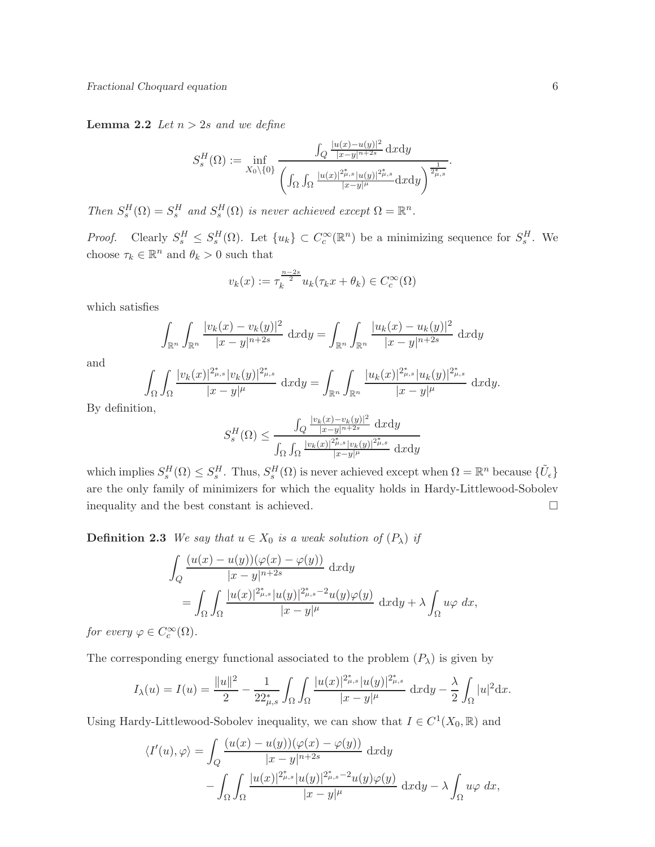**Lemma 2.2** Let  $n > 2s$  and we define

$$
S_s^H(\Omega) := \inf_{X_0 \setminus \{0\}} \frac{\int_Q \frac{|u(x) - u(y)|^2}{|x - y|^{n+2s}} dxdy}{\left(\int_\Omega \int_\Omega \frac{|u(x)|^{2\mu,s} |u(y)|^{2\mu,s}}{|x - y|^{\mu}} dxdy\right)^{\frac{1}{2\mu,s}}}.
$$

Then  $S_s^H(\Omega) = S_s^H$  and  $S_s^H(\Omega)$  is never achieved except  $\Omega = \mathbb{R}^n$ .

*Proof.* Clearly  $S_s^H \leq S_s^H(\Omega)$ . Let  $\{u_k\} \subset C_c^{\infty}(\mathbb{R}^n)$  be a minimizing sequence for  $S_s^H$ . We choose  $\tau_k \in \mathbb{R}^n$  and  $\theta_k > 0$  such that

$$
v_k(x) := \tau_k^{\frac{n-2s}{2}} u_k(\tau_k x + \theta_k) \in C_c^{\infty}(\Omega)
$$

which satisfies

$$
\int_{\mathbb{R}^n} \int_{\mathbb{R}^n} \frac{|v_k(x) - v_k(y)|^2}{|x - y|^{n+2s}} dxdy = \int_{\mathbb{R}^n} \int_{\mathbb{R}^n} \frac{|u_k(x) - u_k(y)|^2}{|x - y|^{n+2s}} dxdy
$$

and

$$
\int_{\Omega} \int_{\Omega} \frac{|v_k(x)|^{2_{\mu,s}^*} |v_k(y)|^{2_{\mu,s}^*}}{|x-y|^{\mu}} dxdy = \int_{\mathbb{R}^n} \int_{\mathbb{R}^n} \frac{|u_k(x)|^{2_{\mu,s}^*} |u_k(y)|^{2_{\mu,s}^*}}{|x-y|^{\mu}} dxdy.
$$

By definition,

$$
S_s^H(\Omega) \le \frac{\int_Q \frac{|v_k(x) - v_k(y)|^2}{|x - y|^{n+2s}} dxdy}{\int_Q \int_Q \frac{|v_k(x)|^{2\mu_s} |v_k(y)|^{2\mu_s}}{|x - y|^{\mu}} dxdy} dxdy
$$

which implies  $S_s^H(\Omega) \leq S_s^H$ . Thus,  $S_s^H(\Omega)$  is never achieved except when  $\Omega = \mathbb{R}^n$  because  $\{\tilde{U}_{\epsilon}\}\$ are the only family of minimizers for which the equality holds in Hardy-Littlewood-Sobolev inequality and the best constant is achieved.

**Definition 2.3** We say that  $u \in X_0$  is a weak solution of  $(P_\lambda)$  if

$$
\int_{Q} \frac{(u(x) - u(y))(\varphi(x) - \varphi(y))}{|x - y|^{n+2s}} dxdy
$$
\n
$$
= \int_{\Omega} \int_{\Omega} \frac{|u(x)|^{2\mu} s |u(y)|^{2\mu} s^{-2} u(y) \varphi(y)}{|x - y|^{\mu}} dxdy + \lambda \int_{\Omega} u\varphi dx,
$$

for every  $\varphi \in C_c^{\infty}(\Omega)$ .

The corresponding energy functional associated to the problem  $(P_\lambda)$  is given by

$$
I_{\lambda}(u) = I(u) = \frac{\|u\|^2}{2} - \frac{1}{22_{\mu,s}^*} \int_{\Omega} \int_{\Omega} \frac{|u(x)|^{2_{\mu,s}^*} |u(y)|^{2_{\mu,s}^*}}{|x - y|^{\mu}} dxdy - \frac{\lambda}{2} \int_{\Omega} |u|^2 dx.
$$

Using Hardy-Littlewood-Sobolev inequality, we can show that  $I \in C^1(X_0, \mathbb{R})$  and

$$
\langle I'(u), \varphi \rangle = \int_Q \frac{(u(x) - u(y))(\varphi(x) - \varphi(y))}{|x - y|^{n+2s}} dxdy
$$

$$
- \int_\Omega \int_\Omega \frac{|u(x)|^{2^*_{\mu,s}} |u(y)|^{2^*_{\mu,s} - 2} u(y) \varphi(y)}{|x - y|^\mu} dxdy - \lambda \int_\Omega u \varphi dx,
$$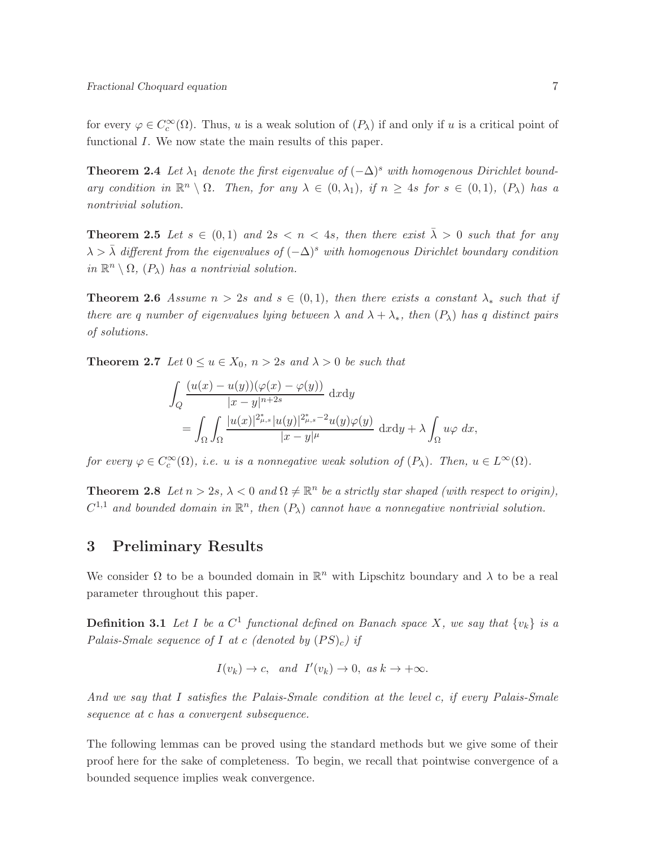for every  $\varphi \in C_c^{\infty}(\Omega)$ . Thus, u is a weak solution of  $(P_{\lambda})$  if and only if u is a critical point of functional I. We now state the main results of this paper.

**Theorem 2.4** Let  $\lambda_1$  denote the first eigenvalue of  $(-\Delta)^s$  with homogenous Dirichlet boundary condition in  $\mathbb{R}^n \setminus \Omega$ . Then, for any  $\lambda \in (0, \lambda_1)$ , if  $n \geq 4s$  for  $s \in (0, 1)$ ,  $(P_{\lambda})$  has a nontrivial solution.

**Theorem 2.5** Let  $s \in (0,1)$  and  $2s < n < 4s$ , then there exist  $\overline{\lambda} > 0$  such that for any  $\lambda > \overline{\lambda}$  different from the eigenvalues of  $(-\Delta)^s$  with homogenous Dirichlet boundary condition in  $\mathbb{R}^n \setminus \Omega$ ,  $(P_{\lambda})$  has a nontrivial solution.

**Theorem 2.6** Assume  $n > 2s$  and  $s \in (0,1)$ , then there exists a constant  $\lambda_*$  such that if there are q number of eigenvalues lying between  $\lambda$  and  $\lambda + \lambda_*$ , then  $(P_\lambda)$  has q distinct pairs of solutions.

**Theorem 2.7** Let  $0 \le u \in X_0$ ,  $n > 2s$  and  $\lambda > 0$  be such that

$$
\int_{Q} \frac{(u(x) - u(y))(\varphi(x) - \varphi(y))}{|x - y|^{n+2s}} dxdy
$$
\n
$$
= \int_{\Omega} \int_{\Omega} \frac{|u(x)|^{2\mu_s} |u(y)|^{2\mu_s - 2} u(y)\varphi(y)}{|x - y|^{\mu}} dxdy + \lambda \int_{\Omega} u\varphi dx,
$$

for every  $\varphi \in C_c^{\infty}(\Omega)$ , i.e. u is a nonnegative weak solution of  $(P_{\lambda})$ . Then,  $u \in L^{\infty}(\Omega)$ .

**Theorem 2.8** Let  $n > 2s$ ,  $\lambda < 0$  and  $\Omega \neq \mathbb{R}^n$  be a strictly star shaped (with respect to origin),  $C^{1,1}$  and bounded domain in  $\mathbb{R}^n$ , then  $(P_\lambda)$  cannot have a nonnegative nontrivial solution.

## 3 Preliminary Results

We consider  $\Omega$  to be a bounded domain in  $\mathbb{R}^n$  with Lipschitz boundary and  $\lambda$  to be a real parameter throughout this paper.

**Definition 3.1** Let I be a  $C^1$  functional defined on Banach space X, we say that  $\{v_k\}$  is a Palais-Smale sequence of I at c (denoted by  $(PS)_c$ ) if

$$
I(v_k) \to c
$$
, and  $I'(v_k) \to 0$ , as  $k \to +\infty$ .

And we say that I satisfies the Palais-Smale condition at the level c, if every Palais-Smale sequence at c has a convergent subsequence.

The following lemmas can be proved using the standard methods but we give some of their proof here for the sake of completeness. To begin, we recall that pointwise convergence of a bounded sequence implies weak convergence.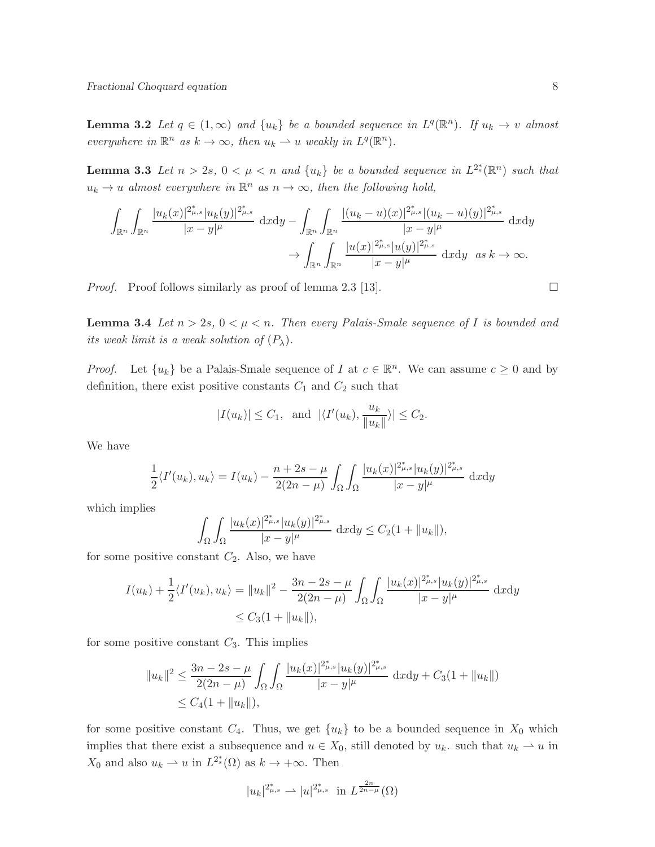**Lemma 3.2** Let  $q \in (1,\infty)$  and  $\{u_k\}$  be a bounded sequence in  $L^q(\mathbb{R}^n)$ . If  $u_k \to v$  almost everywhere in  $\mathbb{R}^n$  as  $k \to \infty$ , then  $u_k \rightharpoonup u$  weakly in  $L^q(\mathbb{R}^n)$ .

**Lemma 3.3** Let  $n > 2s$ ,  $0 < \mu < n$  and  $\{u_k\}$  be a bounded sequence in  $L^{2_s^*}(\mathbb{R}^n)$  such that  $u_k \to u$  almost everywhere in  $\mathbb{R}^n$  as  $n \to \infty$ , then the following hold,

$$
\int_{\mathbb{R}^n} \int_{\mathbb{R}^n} \frac{|u_k(x)|^{2^*_{\mu,s}}|u_k(y)|^{2^*_{\mu,s}}}{|x-y|^\mu} dxdy - \int_{\mathbb{R}^n} \int_{\mathbb{R}^n} \frac{|(u_k-u)(x)|^{2^*_{\mu,s}}|(u_k-u)(y)|^{2^*_{\mu,s}}}{|x-y|^\mu} dxdy \n\to \int_{\mathbb{R}^n} \int_{\mathbb{R}^n} \frac{|u(x)|^{2^*_{\mu,s}}|u(y)|^{2^*_{\mu,s}}}{|x-y|^\mu} dxdy \text{ as } k \to \infty.
$$

*Proof.* Proof follows similarly as proof of lemma 2.3 [13].

**Lemma 3.4** Let  $n > 2s$ ,  $0 < \mu < n$ . Then every Palais-Smale sequence of I is bounded and its weak limit is a weak solution of  $(P_\lambda)$ .

*Proof.* Let  $\{u_k\}$  be a Palais-Smale sequence of I at  $c \in \mathbb{R}^n$ . We can assume  $c \geq 0$  and by definition, there exist positive constants  $C_1$  and  $C_2$  such that

$$
|I(u_k)| \leq C_1
$$
, and  $|\langle I'(u_k), \frac{u_k}{\|u_k\|}\rangle| \leq C_2$ .

We have

$$
\frac{1}{2}\langle I'(u_k), u_k \rangle = I(u_k) - \frac{n+2s-\mu}{2(2n-\mu)} \int_{\Omega} \int_{\Omega} \frac{|u_k(x)|^{2^*_{\mu,s}} |u_k(y)|^{2^*_{\mu,s}}}{|x-y|^{\mu}} dxdy
$$

which implies

$$
\int_{\Omega} \int_{\Omega} \frac{|u_k(x)|^{2_{\mu,s}^*} |u_k(y)|^{2_{\mu,s}^*}}{|x - y|^{\mu}} \, dxdy \le C_2(1 + \|u_k\|),
$$

for some positive constant  $C_2$ . Also, we have

$$
I(u_k) + \frac{1}{2} \langle I'(u_k), u_k \rangle = ||u_k||^2 - \frac{3n - 2s - \mu}{2(2n - \mu)} \int_{\Omega} \int_{\Omega} \frac{|u_k(x)|^{2^*_{\mu,s}} |u_k(y)|^{2^*_{\mu,s}}}{|x - y|^{\mu}} dxdy
$$
  
 
$$
\leq C_3(1 + ||u_k||),
$$

for some positive constant  $C_3$ . This implies

$$
||u_k||^2 \le \frac{3n - 2s - \mu}{2(2n - \mu)} \int_{\Omega} \int_{\Omega} \frac{|u_k(x)|^{2\mu_s} |u_k(y)|^{2\mu_s} }{|x - y|^{\mu}} dxdy + C_3(1 + ||u_k||) \le C_4(1 + ||u_k||),
$$

for some positive constant  $C_4$ . Thus, we get  $\{u_k\}$  to be a bounded sequence in  $X_0$  which implies that there exist a subsequence and  $u \in X_0$ , still denoted by  $u_k$ . such that  $u_k \rightharpoonup u$  in  $X_0$  and also  $u_k \rightharpoonup u$  in  $L^{2^*_s}(\Omega)$  as  $k \to +\infty$ . Then

$$
|u_k|^{2_{\mu,s}^*} \rightharpoonup |u|^{2_{\mu,s}^*} \text{ in } L^{\frac{2n}{2n-\mu}}(\Omega)
$$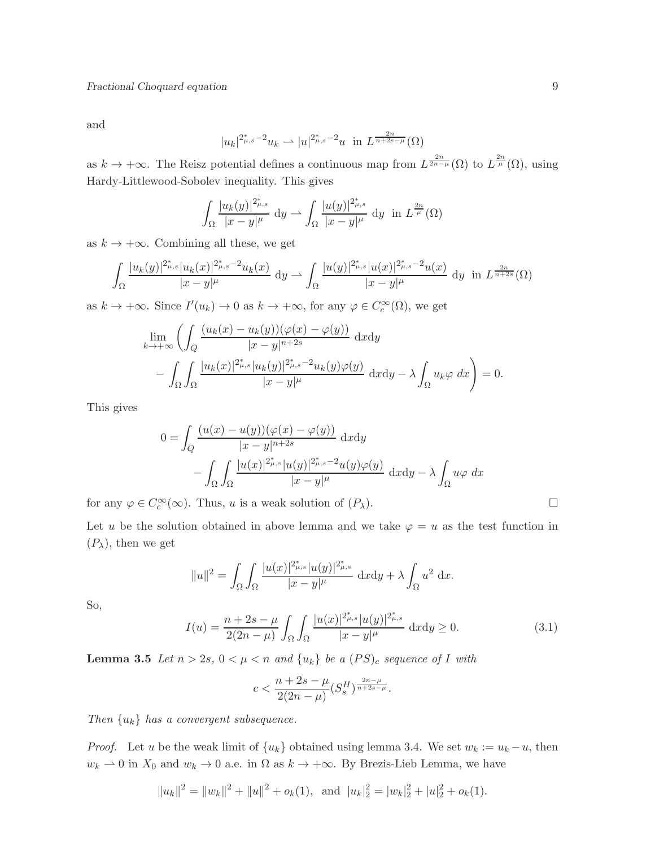and

$$
|u_k|^{2^*_{\mu,s}-2}u_k \rightharpoonup |u|^{2^*_{\mu,s}-2}u \ \ \text{in} \ \ L^{\frac{2n}{n+2s-\mu}}(\Omega)
$$

as  $k \to +\infty$ . The Reisz potential defines a continuous map from  $L^{\frac{2n}{2n-\mu}}(\Omega)$  to  $L^{\frac{2n}{\mu}}(\Omega)$ , using Hardy-Littlewood-Sobolev inequality. This gives

$$
\int_{\Omega} \frac{|u_k(y)|^{2_{\mu,s}^*}}{|x-y|^{\mu}} \, \mathrm{d}y \rightharpoonup \int_{\Omega} \frac{|u(y)|^{2_{\mu,s}^*}}{|x-y|^{\mu}} \, \mathrm{d}y \; \; \text{in} \; L^{\frac{2n}{\mu}}(\Omega)
$$

as  $k \to +\infty$ . Combining all these, we get

$$
\int_{\Omega} \frac{|u_k(y)|^{2_{\mu,s}^*} |u_k(x)|^{2_{\mu,s}^* - 2} u_k(x)}{|x - y|^{\mu}} dy \rightharpoonup \int_{\Omega} \frac{|u(y)|^{2_{\mu,s}^*} |u(x)|^{2_{\mu,s}^* - 2} u(x)}{|x - y|^{\mu}} dy \text{ in } L^{\frac{2n}{n + 2s}}(\Omega)
$$

as  $k \to +\infty$ . Since  $I'(u_k) \to 0$  as  $k \to +\infty$ , for any  $\varphi \in C_c^{\infty}(\Omega)$ , we get

$$
\lim_{k \to +\infty} \left( \int_Q \frac{(u_k(x) - u_k(y))(\varphi(x) - \varphi(y))}{|x - y|^{n+2s}} \, \mathrm{d}x \mathrm{d}y \right. \left. - \int_\Omega \int_\Omega \frac{|u_k(x)|^{2^*_{\mu,s}} |u_k(y)|^{2^*_{\mu,s} - 2} u_k(y)\varphi(y)}{|x - y|^\mu} \, \mathrm{d}x \mathrm{d}y - \lambda \int_\Omega u_k \varphi \, \mathrm{d}x \right) = 0.
$$

This gives

$$
0 = \int_Q \frac{(u(x) - u(y))(\varphi(x) - \varphi(y))}{|x - y|^{n+2s}} dxdy
$$

$$
- \int_\Omega \int_\Omega \frac{|u(x)|^{2^*_{\mu,s}} |u(y)|^{2^*_{\mu,s} - 2} u(y)\varphi(y)}{|x - y|^\mu} dxdy - \lambda \int_\Omega u\varphi dx
$$

for any  $\varphi \in C_c^{\infty}(\infty)$ . Thus, u is a weak solution of  $(P_{\lambda})$ .

Let u be the solution obtained in above lemma and we take  $\varphi = u$  as the test function in  $(P_{\lambda})$ , then we get

$$
||u||^{2} = \int_{\Omega} \int_{\Omega} \frac{|u(x)|^{2\mu_{s}} |u(y)|^{2\mu_{s}}}{|x - y|^{\mu}} \, dxdy + \lambda \int_{\Omega} u^{2} \, dx.
$$

So,

$$
I(u) = \frac{n+2s-\mu}{2(2n-\mu)} \int_{\Omega} \int_{\Omega} \frac{|u(x)|^{2_{\mu,s}^*} |u(y)|^{2_{\mu,s}^*}}{|x-y|^{\mu}} \, \mathrm{d}x \mathrm{d}y \ge 0. \tag{3.1}
$$

**Lemma 3.5** Let  $n > 2s$ ,  $0 < \mu < n$  and  $\{u_k\}$  be a  $(PS)_c$  sequence of I with

$$
c < \frac{n + 2s - \mu}{2(2n - \mu)} (S_s^H)^{\frac{2n - \mu}{n + 2s - \mu}}.
$$

Then  $\{u_k\}$  has a convergent subsequence.

*Proof.* Let u be the weak limit of  $\{u_k\}$  obtained using lemma 3.4. We set  $w_k := u_k - u$ , then  $w_k \rightharpoonup 0$  in  $X_0$  and  $w_k \rightharpoonup 0$  a.e. in  $\Omega$  as  $k \rightharpoonup +\infty$ . By Brezis-Lieb Lemma, we have

$$
||u_k||^2 = ||w_k||^2 + ||u||^2 + o_k(1)
$$
, and  $|u_k|_2^2 = |w_k|_2^2 + |u|_2^2 + o_k(1)$ .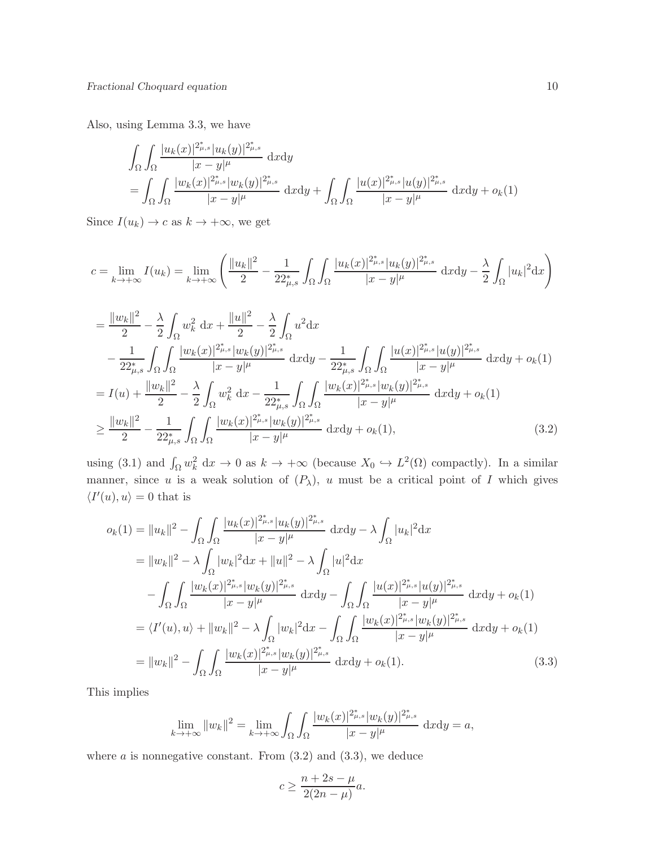Also, using Lemma 3.3, we have

$$
\int_{\Omega} \int_{\Omega} \frac{|u_k(x)|^{2\mu,s}_{\mu,s} |u_k(y)|^{2\mu,s}_{\mu,s}}{|x-y|^{\mu}} dxdy
$$
\n
$$
= \int_{\Omega} \int_{\Omega} \frac{|w_k(x)|^{2\mu,s}_{\mu,s} |w_k(y)|^{2\mu,s}_{\mu,s}}{|x-y|^{\mu}} dxdy + \int_{\Omega} \int_{\Omega} \frac{|u(x)|^{2\mu,s}_{\mu,s} |u(y)|^{2\mu,s}_{\mu,s}}{|x-y|^{\mu}} dxdy + o_k(1)
$$

Since  $I(u_k) \to c$  as  $k \to +\infty$ , we get

$$
c = \lim_{k \to +\infty} I(u_k) = \lim_{k \to +\infty} \left( \frac{\|u_k\|^2}{2} - \frac{1}{22_{\mu,s}^*} \int_{\Omega} \int_{\Omega} \frac{|u_k(x)|^{2_{\mu,s}^*} |u_k(y)|^{2_{\mu,s}^*}}{|x - y|^{\mu}} \, dxdy - \frac{\lambda}{2} \int_{\Omega} |u_k|^2 dx \right)
$$

$$
\begin{split}\n&= \frac{\|w_{k}\|^{2}}{2} - \frac{\lambda}{2} \int_{\Omega} w_{k}^{2} dx + \frac{\|u\|^{2}}{2} - \frac{\lambda}{2} \int_{\Omega} u^{2} dx \\
&- \frac{1}{22_{\mu,s}^{*}} \int_{\Omega} \int_{\Omega} \frac{|w_{k}(x)|^{2_{\mu,s}^{*}}|w_{k}(y)|^{2_{\mu,s}^{*}}}{|x-y|^{\mu}} dxdy - \frac{1}{22_{\mu,s}^{*}} \int_{\Omega} \int_{\Omega} \frac{|u(x)|^{2_{\mu,s}^{*}}|u(y)|^{2_{\mu,s}^{*}}}{|x-y|^{\mu}} dxdy + o_{k}(1) \\
&= I(u) + \frac{\|w_{k}\|^{2}}{2} - \frac{\lambda}{2} \int_{\Omega} w_{k}^{2} dx - \frac{1}{22_{\mu,s}^{*}} \int_{\Omega} \int_{\Omega} \frac{|w_{k}(x)|^{2_{\mu,s}^{*}}|w_{k}(y)|^{2_{\mu,s}^{*}}}{|x-y|^{\mu}} dxdy + o_{k}(1) \\
&\geq \frac{\|w_{k}\|^{2}}{2} - \frac{1}{22_{\mu,s}^{*}} \int_{\Omega} \int_{\Omega} \frac{|w_{k}(x)|^{2_{\mu,s}^{*}}|w_{k}(y)|^{2_{\mu,s}^{*}}}{|x-y|^{\mu}} dxdy + o_{k}(1), \n\end{split} \tag{3.2}
$$

using (3.1) and  $\int_{\Omega} w_k^2 \, dx \to 0$  as  $k \to +\infty$  (because  $X_0 \hookrightarrow L^2(\Omega)$  compactly). In a similar manner, since u is a weak solution of  $(P_\lambda)$ , u must be a critical point of I which gives  $\langle I'(u), u \rangle = 0$  that is

$$
o_k(1) = ||u_k||^2 - \int_{\Omega} \int_{\Omega} \frac{|u_k(x)|^{2_{\mu,s}^*} |u_k(y)|^{2_{\mu,s}^*}}{|x - y|^{\mu}} dxdy - \lambda \int_{\Omega} |u_k|^2 dx
$$
  
\n
$$
= ||w_k||^2 - \lambda \int_{\Omega} |w_k|^2 dx + ||u||^2 - \lambda \int_{\Omega} |u|^2 dx
$$
  
\n
$$
- \int_{\Omega} \int_{\Omega} \frac{|w_k(x)|^{2_{\mu,s}^*} |w_k(y)|^{2_{\mu,s}^*}}{|x - y|^{\mu}} dxdy - \int_{\Omega} \int_{\Omega} \frac{|u(x)|^{2_{\mu,s}^*} |u(y)|^{2_{\mu,s}^*}}{|x - y|^{\mu}} dxdy + o_k(1)
$$
  
\n
$$
= \langle I'(u), u \rangle + ||w_k||^2 - \lambda \int_{\Omega} |w_k|^2 dx - \int_{\Omega} \int_{\Omega} \frac{|w_k(x)|^{2_{\mu,s}^*} |w_k(y)|^{2_{\mu,s}^*}}{|x - y|^{\mu}} dxdy + o_k(1)
$$
  
\n
$$
= ||w_k||^2 - \int_{\Omega} \int_{\Omega} \frac{|w_k(x)|^{2_{\mu,s}^*} |w_k(y)|^{2_{\mu,s}^*}}{|x - y|^{\mu}} dxdy + o_k(1).
$$
 (3.3)

This implies

$$
\lim_{k \to +\infty} \|w_k\|^2 = \lim_{k \to +\infty} \int_{\Omega} \int_{\Omega} \frac{|w_k(x)|^{2^*_{\mu,s}} |w_k(y)|^{2^*_{\mu,s}}}{|x - y|^{\mu}} \, \mathrm{d}x \mathrm{d}y = a,
$$

where  $a$  is nonnegative constant. From  $(3.2)$  and  $(3.3)$ , we deduce

$$
c \ge \frac{n+2s-\mu}{2(2n-\mu)}a.
$$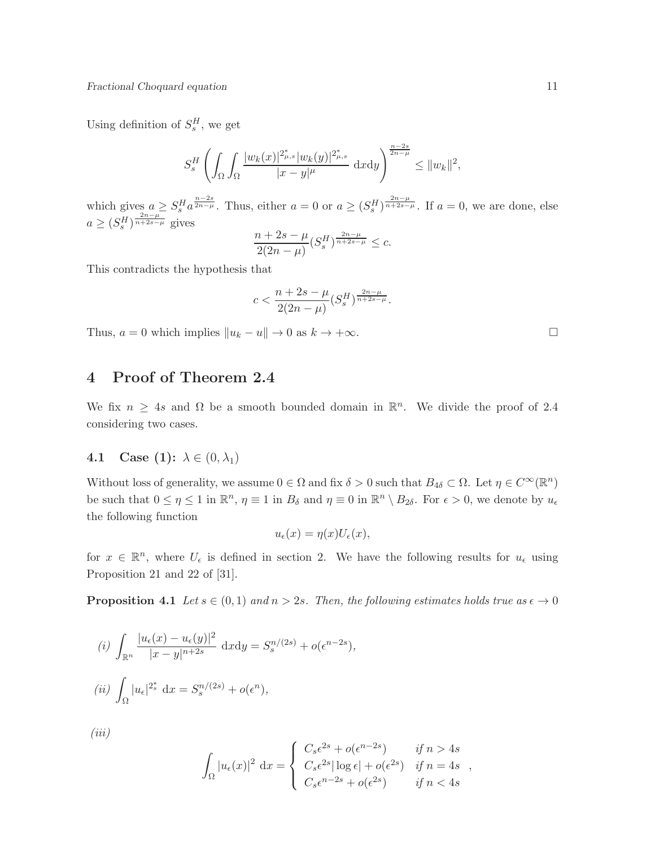Using definition of  $S_s^H$ , we get

$$
S_s^H\left(\int_{\Omega}\int_{\Omega}\frac{|w_k(x)|^{2_{\mu,s}^*}|w_k(y)|^{2_{\mu,s}^*}}{|x-y|^{\mu}}\,\mathrm{d}x\mathrm{d}y\right)^{\frac{n-2s}{2n-\mu}} \leq \|w_k\|^2,
$$

which gives  $a \geq S_s^H a^{\frac{n-2s}{2n-\mu}}$ . Thus, either  $a = 0$  or  $a \geq (S_s^H)^{\frac{2n-\mu}{n+2s-\mu}}$ . If  $a = 0$ , we are done, else  $a \geq (S_s^{\overline{H}})^{\frac{2n-\mu}{n+2s-\mu}}$  gives

$$
\frac{n+2s-\mu}{2(2n-\mu)}(S_s^H)^{\frac{2n-\mu}{n+2s-\mu}} \leq c.
$$

This contradicts the hypothesis that

$$
c < \frac{n + 2s - \mu}{2(2n - \mu)} (S_s^H)^{\frac{2n - \mu}{n + 2s - \mu}}.
$$

Thus,  $a = 0$  which implies  $||u_k - u|| \to 0$  as  $k \to +\infty$ .

# 4 Proof of Theorem 2.4

We fix  $n \geq 4s$  and  $\Omega$  be a smooth bounded domain in  $\mathbb{R}^n$ . We divide the proof of 2.4 considering two cases.

#### 4.1 Case (1):  $\lambda \in (0, \lambda_1)$

Without loss of generality, we assume  $0 \in \Omega$  and fix  $\delta > 0$  such that  $B_{4\delta} \subset \Omega$ . Let  $\eta \in C^{\infty}(\mathbb{R}^n)$ be such that  $0 \le \eta \le 1$  in  $\mathbb{R}^n$ ,  $\eta \equiv 1$  in  $B_\delta$  and  $\eta \equiv 0$  in  $\mathbb{R}^n \setminus B_{2\delta}$ . For  $\epsilon > 0$ , we denote by  $u_\epsilon$ the following function

$$
u_{\epsilon}(x) = \eta(x)U_{\epsilon}(x),
$$

for  $x \in \mathbb{R}^n$ , where  $U_{\epsilon}$  is defined in section 2. We have the following results for  $u_{\epsilon}$  using Proposition 21 and 22 of [31].

**Proposition 4.1** Let  $s \in (0,1)$  and  $n > 2s$ . Then, the following estimates holds true as  $\epsilon \to 0$ 

(i) 
$$
\int_{\mathbb{R}^n} \frac{|u_{\epsilon}(x) - u_{\epsilon}(y)|^2}{|x - y|^{n+2s}} dx dy = S_s^{n/(2s)} + o(\epsilon^{n-2s}),
$$
  
\n(ii)  $\int_{\Omega} |u_{\epsilon}|^{2_s^*} dx = S_s^{n/(2s)} + o(\epsilon^n),$   
\n(iii)

$$
\int_{\Omega} |u_{\epsilon}(x)|^2 dx = \begin{cases} C_s \epsilon^{2s} + o(\epsilon^{n-2s}) & \text{if } n > 4s \\ C_s \epsilon^{2s} |\log \epsilon| + o(\epsilon^{2s}) & \text{if } n = 4s \\ C_s \epsilon^{n-2s} + o(\epsilon^{2s}) & \text{if } n < 4s \end{cases}
$$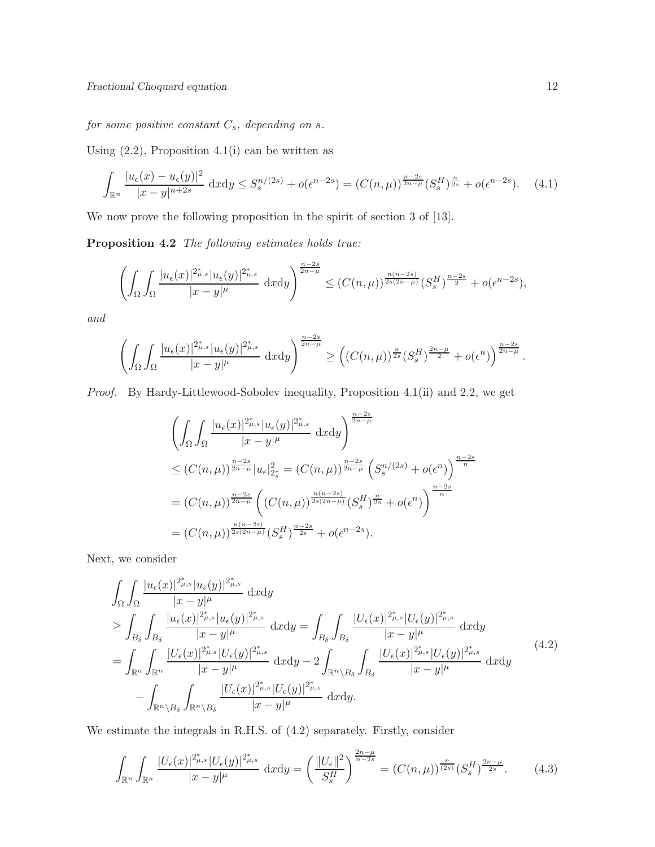$\emph{for some positive constant $C_s$, depending on $s$.}$ 

Using  $(2.2)$ , Proposition 4.1(i) can be written as

$$
\int_{\mathbb{R}^n} \frac{|u_\epsilon(x) - u_\epsilon(y)|^2}{|x - y|^{n+2s}} \, \mathrm{d}x \mathrm{d}y \le S_s^{n/(2s)} + o(\epsilon^{n-2s}) = (C(n, \mu))^{\frac{n-2s}{2n-\mu}} (S_s^H)^{\frac{n}{2s}} + o(\epsilon^{n-2s}). \tag{4.1}
$$

We now prove the following proposition in the spirit of section 3 of [13].

Proposition 4.2 The following estimates holds true:

$$
\left(\int_{\Omega}\int_{\Omega}\frac{|u_{\epsilon}(x)|^{2_{\mu,s}^{\ast}}|u_{\epsilon}(y)|^{2_{\mu,s}^{\ast}}}{|x-y|^{\mu}}\;{\rm d}x{\rm d}y\right)^{\frac{n-2s}{2n-\mu}} \leq \left(C(n,\mu)\right)^{\frac{n(n-2s)}{2s(2n-\mu)}}\left(S_{s}^{H}\right)^{\frac{n-2s}{2}}+o(\epsilon^{n-2s}),
$$

and

$$
\left(\int_{\Omega}\int_{\Omega}\frac{|u_{\epsilon}(x)|^{2\mu,s}_{\mu,s}|u_{\epsilon}(y)|^{2\mu,s}_{\mu,s}}{|x-y|^{\mu}}\;{\rm d}x{\rm d}y\right)^{\frac{n-2s}{2n-\mu}}\geq \left((C(n,\mu))^{\frac{n}{2s}}(S^{H}_{s})^{\frac{2n-\mu}{2}}+o(\epsilon^{n})\right)^{\frac{n-2s}{2n-\mu}}.
$$

Proof. By Hardy-Littlewood-Sobolev inequality, Proposition 4.1(ii) and 2.2, we get

$$
\left(\int_{\Omega} \int_{\Omega} \frac{|u_{\epsilon}(x)|^{2_{\mu,s}^{*}}|u_{\epsilon}(y)|^{2_{\mu,s}^{*}}}{|x-y|^{\mu}} dxdy\right)^{\frac{n-2s}{2n-\mu}}
$$
\n
$$
\leq (C(n,\mu))^{\frac{n-2s}{2n-\mu}}|u_{\epsilon}|_{2_{s}^{*}}^{2} = (C(n,\mu))^{\frac{n-2s}{2n-\mu}} \left(S_{s}^{n/(2s)} + o(\epsilon^{n})\right)^{\frac{n-2s}{n}}
$$
\n
$$
= (C(n,\mu))^{\frac{n-2s}{2n-\mu}} \left((C(n,\mu))^{\frac{n(n-2s)}{2s(2n-\mu)}} (S_{s}^{H})^{\frac{n}{2s}} + o(\epsilon^{n})\right)^{\frac{n-2s}{n}}
$$
\n
$$
= (C(n,\mu))^{\frac{n(n-2s)}{2s(2n-\mu)}} (S_{s}^{H})^{\frac{n-2s}{2s}} + o(\epsilon^{n-2s}).
$$

Next, we consider

$$
\int_{\Omega} \int_{\Omega} \frac{|u_{\epsilon}(x)|^{2_{\mu,s}^{*}}|u_{\epsilon}(y)|^{2_{\mu,s}^{*}}}{|x-y|^{\mu}} dxdy \n\geq \int_{B_{\delta}} \int_{B_{\delta}} \frac{|u_{\epsilon}(x)|^{2_{\mu,s}^{*}}|u_{\epsilon}(y)|^{2_{\mu,s}^{*}}}{|x-y|^{\mu}} dxdy = \int_{B_{\delta}} \int_{B_{\delta}} \frac{|U_{\epsilon}(x)|^{2_{\mu,s}^{*}}|U_{\epsilon}(y)|^{2_{\mu,s}^{*}}}{|x-y|^{\mu}} dxdy \n= \int_{\mathbb{R}^{n}} \int_{\mathbb{R}^{n}} \frac{|U_{\epsilon}(x)|^{2_{\mu,s}^{*}}|U_{\epsilon}(y)|^{2_{\mu,s}^{*}}}{|x-y|^{\mu}} dxdy - 2 \int_{\mathbb{R}^{n} \setminus B_{\delta}} \int_{B_{\delta}} \frac{|U_{\epsilon}(x)|^{2_{\mu,s}^{*}}|U_{\epsilon}(y)|^{2_{\mu,s}^{*}}}{|x-y|^{\mu}} dxdy \n- \int_{\mathbb{R}^{n} \setminus B_{\delta}} \int_{\mathbb{R}^{n} \setminus B_{\delta}} \frac{|U_{\epsilon}(x)|^{2_{\mu,s}^{*}}|U_{\epsilon}(y)|^{2_{\mu,s}^{*}}}{|x-y|^{\mu}} dxdy.
$$
\n(4.2)

We estimate the integrals in R.H.S. of (4.2) separately. Firstly, consider

$$
\int_{\mathbb{R}^n} \int_{\mathbb{R}^n} \frac{|U_{\epsilon}(x)|^{2_{\mu,s}^*} |U_{\epsilon}(y)|^{2_{\mu,s}^*}}{|x-y|^{\mu}} dxdy = \left(\frac{\|U_{\epsilon}\|^2}{S_s^H}\right)^{\frac{2n-\mu}{n-2s}} = (C(n,\mu))^{\frac{n}{(2s)}} (S_s^H)^{\frac{2n-\mu}{2s}}.
$$
 (4.3)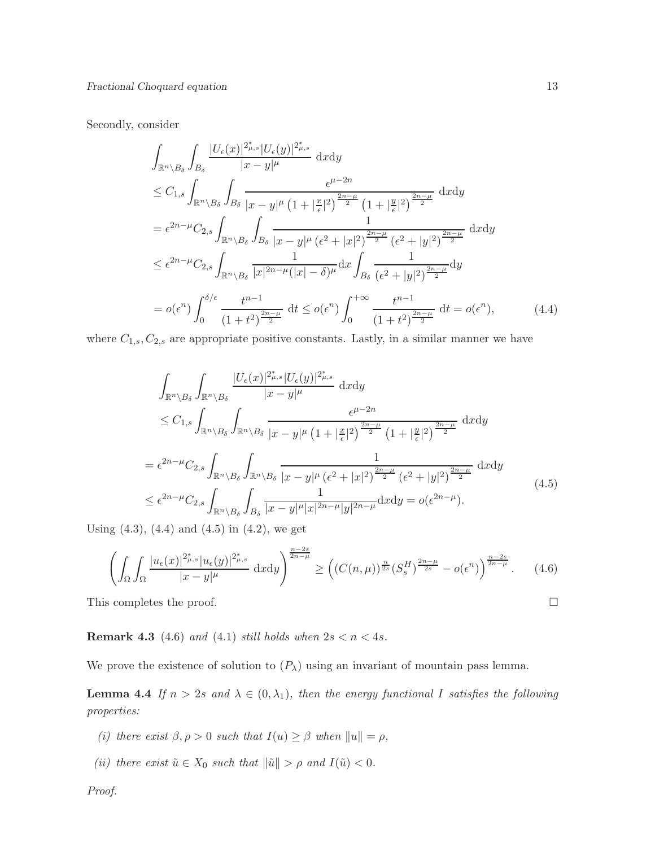#### Secondly, consider

$$
\int_{\mathbb{R}^n \setminus B_{\delta}} \int_{B_{\delta}} \frac{|U_{\epsilon}(x)|^{2_{\mu,s}^*} |U_{\epsilon}(y)|^{2_{\mu,s}^*}}{|x - y|^{\mu}} dxdy
$$
\n
$$
\leq C_{1,s} \int_{\mathbb{R}^n \setminus B_{\delta}} \int_{B_{\delta}} \frac{\epsilon^{\mu - 2n}}{|x - y|^{\mu} (1 + |\frac{x}{\epsilon}|^{2})^{\frac{2n - \mu}{2}} (1 + |\frac{y}{\epsilon}|^{2})^{\frac{2n - \mu}{2}}} dxdy
$$
\n
$$
= \epsilon^{2n - \mu} C_{2,s} \int_{\mathbb{R}^n \setminus B_{\delta}} \int_{B_{\delta}} \frac{1}{|x - y|^{\mu} (\epsilon^{2} + |x|^{2})^{\frac{2n - \mu}{2}} (\epsilon^{2} + |y|^{2})^{\frac{2n - \mu}{2}}} dxdy
$$
\n
$$
\leq \epsilon^{2n - \mu} C_{2,s} \int_{\mathbb{R}^n \setminus B_{\delta}} \frac{1}{|x|^{2n - \mu} (|x| - \delta)^{\mu}} d x \int_{B_{\delta}} \frac{1}{(\epsilon^{2} + |y|^{2})^{\frac{2n - \mu}{2}}} d y
$$
\n
$$
= o(\epsilon^{n}) \int_{0}^{\delta/\epsilon} \frac{t^{n - 1}}{(1 + t^{2})^{\frac{2n - \mu}{2}}} dt \leq o(\epsilon^{n}) \int_{0}^{+\infty} \frac{t^{n - 1}}{(1 + t^{2})^{\frac{2n - \mu}{2}}} dt = o(\epsilon^{n}), \qquad (4.4)
$$

where  $C_{1,s}, C_{2,s}$  are appropriate positive constants. Lastly, in a similar manner we have

$$
\int_{\mathbb{R}^n \setminus B_{\delta}} \int_{\mathbb{R}^n \setminus B_{\delta}} \frac{|U_{\epsilon}(x)|^{2_{\mu,s}^*} |U_{\epsilon}(y)|^{2_{\mu,s}^*}}{|x - y|^{\mu}} dxdy
$$
\n
$$
\leq C_{1,s} \int_{\mathbb{R}^n \setminus B_{\delta}} \int_{\mathbb{R}^n \setminus B_{\delta}} \frac{\epsilon^{\mu - 2n}}{|x - y|^{\mu} (1 + |\frac{x}{\epsilon}|^2)^{\frac{2n - \mu}{2}} (1 + |\frac{y}{\epsilon}|^2)^{\frac{2n - \mu}{2}}} dxdy
$$
\n
$$
= \epsilon^{2n - \mu} C_{2,s} \int_{\mathbb{R}^n \setminus B_{\delta}} \int_{\mathbb{R}^n \setminus B_{\delta}} \frac{1}{|x - y|^{\mu} (\epsilon^2 + |x|^2)^{\frac{2n - \mu}{2}} (\epsilon^2 + |y|^2)^{\frac{2n - \mu}{2}}} dxdy
$$
\n
$$
\leq \epsilon^{2n - \mu} C_{2,s} \int_{\mathbb{R}^n \setminus B_{\delta}} \int_{B_{\delta}} \frac{1}{|x - y|^{\mu} |x|^{2n - \mu} |y|^{2n - \mu}} dxdy = o(\epsilon^{2n - \mu}). \tag{4.5}
$$

Using  $(4.3)$ ,  $(4.4)$  and  $(4.5)$  in  $(4.2)$ , we get

$$
\left(\int_{\Omega}\int_{\Omega}\frac{|u_{\epsilon}(x)|^{2_{\mu,s}^{\ast}}|u_{\epsilon}(y)|^{2_{\mu,s}^{\ast}}}{|x-y|^{\mu}}\,\mathrm{d}x\mathrm{d}y\right)^{\frac{n-2s}{2n-\mu}} \geq \left((C(n,\mu))^{\frac{n}{2s}}(S_s^H)^{\frac{2n-\mu}{2s}}-o(\epsilon^n)\right)^{\frac{n-2s}{2n-\mu}}.\tag{4.6}
$$

This completes the proof.  $\Box$ 

**Remark 4.3** (4.6) and (4.1) still holds when  $2s < n < 4s$ .

We prove the existence of solution to  $(P_\lambda)$  using an invariant of mountain pass lemma.

**Lemma 4.4** If  $n > 2s$  and  $\lambda \in (0, \lambda_1)$ , then the energy functional I satisfies the following properties:

- (i) there exist  $\beta, \rho > 0$  such that  $I(u) \geq \beta$  when  $||u|| = \rho$ ,
- (ii) there exist  $\tilde{u} \in X_0$  such that  $\|\tilde{u}\| > \rho$  and  $I(\tilde{u}) < 0$ .

Proof.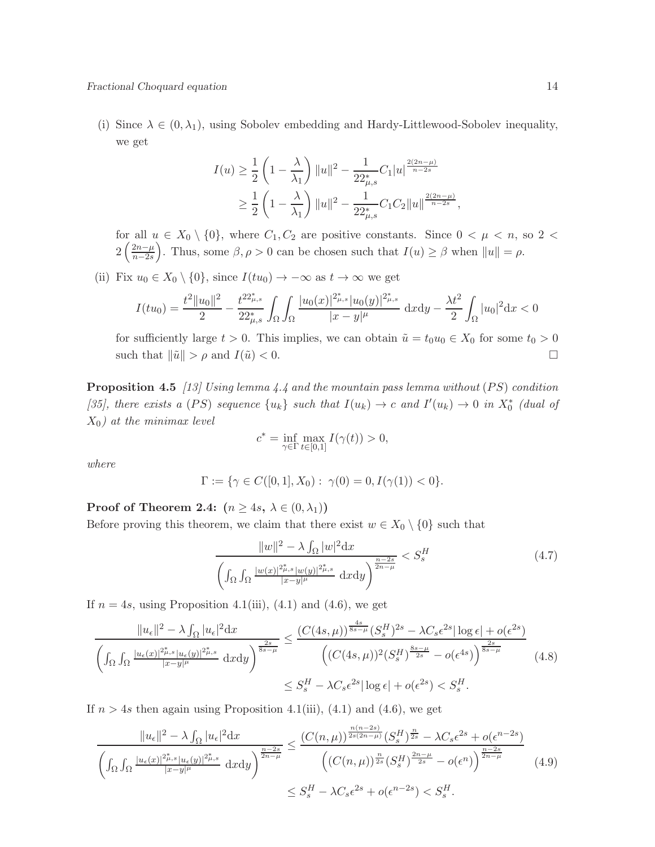(i) Since  $\lambda \in (0, \lambda_1)$ , using Sobolev embedding and Hardy-Littlewood-Sobolev inequality, we get

$$
I(u) \ge \frac{1}{2} \left( 1 - \frac{\lambda}{\lambda_1} \right) \|u\|^2 - \frac{1}{22\mu s} C_1 |u|^{\frac{2(2n-\mu)}{n-2s}} \ge \frac{1}{2} \left( 1 - \frac{\lambda}{\lambda_1} \right) \|u\|^2 - \frac{1}{22\mu s} C_1 C_2 \|u\|^{\frac{2(2n-\mu)}{n-2s}},
$$

for all  $u \in X_0 \setminus \{0\}$ , where  $C_1, C_2$  are positive constants. Since  $0 < \mu < n$ , so  $2 <$  $2\left(\frac{2n-\mu}{n-2s}\right)$ n−2s ). Thus, some  $\beta, \rho > 0$  can be chosen such that  $I(u) \geq \beta$  when  $||u|| = \rho$ .

(ii) Fix  $u_0 \in X_0 \setminus \{0\}$ , since  $I(tu_0) \to -\infty$  as  $t \to \infty$  we get

$$
I(tu_0) = \frac{t^2 ||u_0||^2}{2} - \frac{t^{22_{\mu,s}^*}}{22_{\mu,s}^*} \int_{\Omega} \int_{\Omega} \frac{|u_0(x)|^{2_{\mu,s}^*} |u_0(y)|^{2_{\mu,s}^*}}{|x-y|^{\mu}} \, \mathrm{d}x \mathrm{d}y - \frac{\lambda t^2}{2} \int_{\Omega} |u_0|^2 \mathrm{d}x < 0
$$

for sufficiently large  $t > 0$ . This implies, we can obtain  $\tilde{u} = t_0 u_0 \in X_0$  for some  $t_0 > 0$ such that  $\|\tilde{u}\| > \rho$  and  $I(\tilde{u}) < 0$ .

**Proposition 4.5** [13] Using lemma 4.4 and the mountain pass lemma without  $(PS)$  condition [35], there exists a (PS) sequence  $\{u_k\}$  such that  $I(u_k) \to c$  and  $I'(u_k) \to 0$  in  $X_0^*$  (dual of  $X_0$ ) at the minimax level

$$
c^*=\inf_{\gamma\in\Gamma}\max_{t\in[0,1]}I(\gamma(t))>0,
$$

where

$$
\Gamma := \{ \gamma \in C([0,1], X_0) : \gamma(0) = 0, I(\gamma(1)) < 0 \}.
$$

Proof of Theorem 2.4:  $(n \geq 4s, \lambda \in (0, \lambda_1))$ 

Before proving this theorem, we claim that there exist  $w \in X_0 \setminus \{0\}$  such that

$$
\frac{\|w\|^2 - \lambda \int_{\Omega} |w|^2 \mathrm{d}x}{\left( \int_{\Omega} \int_{\Omega} \frac{|w(x)|^{2\mu_{s}} |w(y)|^{2\mu_{s}}}{|x-y|^{\mu}} \mathrm{d}x \mathrm{d}y \right)^{\frac{n-2s}{2n-\mu}}} < S_s^H \tag{4.7}
$$

If  $n = 4s$ , using Proposition 4.1(iii), (4.1) and (4.6), we get

$$
\frac{\|u_{\epsilon}\|^2 - \lambda \int_{\Omega} |u_{\epsilon}|^2 dx}{\left(\int_{\Omega} \int_{\Omega} \frac{|u_{\epsilon}(x)|^{2\mu_{\epsilon,s}} |u_{\epsilon}(y)|^{2\mu_{\epsilon,s}}}{|x-y|^{\mu}} dx dy\right)^{\frac{2s}{8s-\mu}}} \leq \frac{(C(4s,\mu))^{\frac{4s}{8s-\mu}} (S_s^H)^{2s} - \lambda C_s \epsilon^{2s} |\log \epsilon| + o(\epsilon^{2s})}{\left((C(4s,\mu))^2 (S_s^H)^{\frac{8s-\mu}{2s}} - o(\epsilon^{4s})\right)^{\frac{2s}{8s-\mu}}} \tag{4.8}
$$
\n
$$
\leq S_s^H - \lambda C_s \epsilon^{2s} |\log \epsilon| + o(\epsilon^{2s}) < S_s^H.
$$

If  $n > 4s$  then again using Proposition 4.1(iii), (4.1) and (4.6), we get

$$
\frac{\|u_{\epsilon}\|^2 - \lambda \int_{\Omega} |u_{\epsilon}|^2 dx}{\left(\int_{\Omega} \int_{\Omega} \frac{|u_{\epsilon}(x)|^{2\mu_{\epsilon,s}} |u_{\epsilon}(y)|^{2\mu_{\epsilon,s}}}{|x-y|^{\mu}} \right)^{\frac{n-2s}{2n-\mu}}} \leq \frac{(C(n,\mu))^{\frac{n(n-2s)}{2s(2n-\mu)}} (S_s^H)^{\frac{n}{2s}} - \lambda C_s \epsilon^{2s} + o(\epsilon^{n-2s})}{\left((C(n,\mu))^{\frac{n}{2s}} (S_s^H)^{\frac{2n-\mu}{2s}} - o(\epsilon^n)\right)^{\frac{n-2s}{2n-\mu}}} \tag{4.9}
$$

$$
\leq S_s^H - \lambda C_s \epsilon^{2s} + o(\epsilon^{n-2s}) < S_s^H.
$$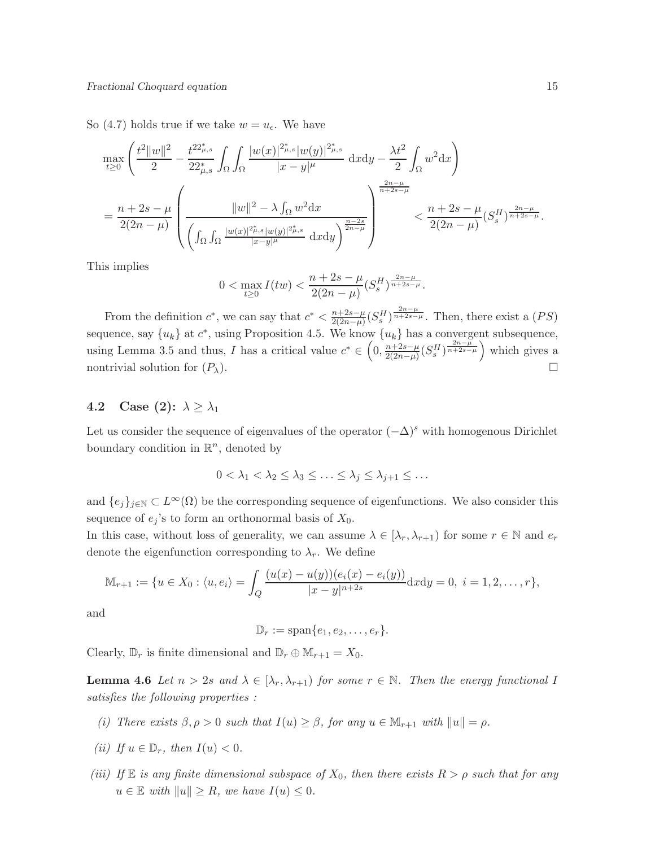So (4.7) holds true if we take  $w = u_{\epsilon}$ . We have

$$
\max_{t\geq 0} \left( \frac{t^2 \|w\|^2}{2} - \frac{t^{22_{\mu,s}^*}}{22_{\mu,s}^*} \int_{\Omega} \int_{\Omega} \frac{|w(x)|^{2_{\mu,s}^*} |w(y)|^{2_{\mu,s}^*}}{|x - y|^{\mu}} \, dxdy - \frac{\lambda t^2}{2} \int_{\Omega} w^2 dx \right)
$$
\n
$$
= \frac{n + 2s - \mu}{2(2n - \mu)} \left( \frac{\|w\|^2 - \lambda \int_{\Omega} w^2 dx}{\left( \int_{\Omega} \int_{\Omega} \frac{|w(x)|^{2_{\mu,s}^*} |w(y)|^{2_{\mu,s}^*}}{|x - y|^{\mu}} \, dxdy \right)^{\frac{n - 2s}{2n - \mu}}} \right) \le \frac{n + 2s - \mu}{2(2n - \mu)} (S_s^H)^{\frac{2n - \mu}{n + 2s - \mu}}.
$$

This implies

$$
0<\max_{t\geq 0}I(tw)<\frac{n+2s-\mu}{2(2n-\mu)}(S^{H}_{s})^{\frac{2n-\mu}{n+2s-\mu}}.
$$

From the definition  $c^*$ , we can say that  $c^* < \frac{n+2s-\mu}{2(2n-\mu)}$  $\frac{n+2s-\mu}{2(2n-\mu)}(S_s^H)^{\frac{2n-\mu}{n+2s-\mu}}$ . Then, there exist a  $(PS)$ sequence, say  $\{u_k\}$  at  $c^*$ , using Proposition 4.5. We know  $\{u_k\}$  has a convergent subsequence, using Lemma 3.5 and thus, I has a critical value  $c^* \in \left(0, \frac{n+2s-\mu}{2(2n-\mu)}\right)$  $\frac{n+2s-\mu}{2(2n-\mu)}(S_s^H)^{\frac{2n-\mu}{n+2s-\mu}}$  which gives a nontrivial solution for  $(P_\lambda)$ .

### 4.2 Case (2):  $\lambda \geq \lambda_1$

Let us consider the sequence of eigenvalues of the operator  $(-\Delta)^s$  with homogenous Dirichlet boundary condition in  $\mathbb{R}^n$ , denoted by

$$
0 < \lambda_1 < \lambda_2 \leq \lambda_3 \leq \ldots \leq \lambda_j \leq \lambda_{j+1} \leq \ldots
$$

and  $\{e_j\}_{j\in\mathbb{N}}\subset L^{\infty}(\Omega)$  be the corresponding sequence of eigenfunctions. We also consider this sequence of  $e_i$ 's to form an orthonormal basis of  $X_0$ .

In this case, without loss of generality, we can assume  $\lambda \in [\lambda_r, \lambda_{r+1})$  for some  $r \in \mathbb{N}$  and  $e_r$ denote the eigenfunction corresponding to  $\lambda_r$ . We define

$$
\mathbb{M}_{r+1} := \{ u \in X_0 : \langle u, e_i \rangle = \int_Q \frac{(u(x) - u(y))(e_i(x) - e_i(y))}{|x - y|^{n+2s}} dxdy = 0, \ i = 1, 2, \dots, r \},
$$

and

$$
\mathbb{D}_r := \mathrm{span}\{e_1, e_2, \ldots, e_r\}.
$$

Clearly,  $\mathbb{D}_r$  is finite dimensional and  $\mathbb{D}_r \oplus \mathbb{M}_{r+1} = X_0$ .

**Lemma 4.6** Let  $n > 2s$  and  $\lambda \in [\lambda_r, \lambda_{r+1})$  for some  $r \in \mathbb{N}$ . Then the energy functional I satisfies the following properties :

- (i) There exists  $\beta, \rho > 0$  such that  $I(u) \geq \beta$ , for any  $u \in \mathbb{M}_{r+1}$  with  $||u|| = \rho$ .
- (ii) If  $u \in \mathbb{D}_r$ , then  $I(u) < 0$ .
- (iii) If  $\mathbb E$  is any finite dimensional subspace of  $X_0$ , then there exists  $R > \rho$  such that for any  $u \in \mathbb{E}$  with  $||u|| \geq R$ , we have  $I(u) \leq 0$ .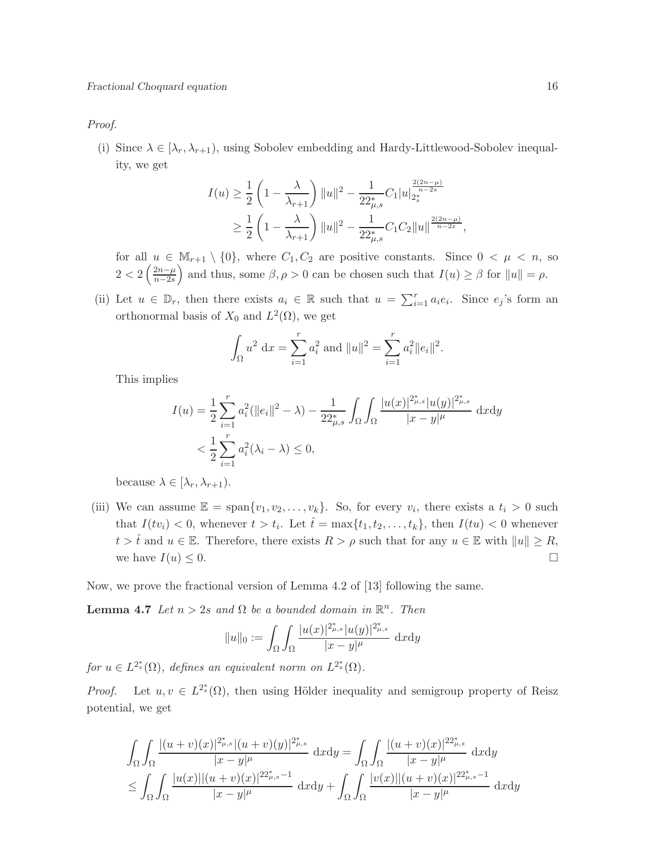Proof.

(i) Since  $\lambda \in [\lambda_r, \lambda_{r+1})$ , using Sobolev embedding and Hardy-Littlewood-Sobolev inequality, we get

$$
I(u) \ge \frac{1}{2} \left( 1 - \frac{\lambda}{\lambda_{r+1}} \right) \|u\|^2 - \frac{1}{22^*_{\mu,s}} C_1 |u|_{2^*_s}^{\frac{2(2n-\mu)}{n-2s}} \ge \frac{1}{2} \left( 1 - \frac{\lambda}{\lambda_{r+1}} \right) \|u\|^2 - \frac{1}{22^*_{\mu,s}} C_1 C_2 \|u\|^{\frac{2(2n-\mu)}{n-2s}},
$$

for all  $u \in M_{r+1} \setminus \{0\}$ , where  $C_1, C_2$  are positive constants. Since  $0 < \mu < n$ , so  $2 < 2\left(\frac{2n-\mu}{n-2s}\right)$  $n-2s$ and thus, some  $\beta$ ,  $\rho > 0$  can be chosen such that  $I(u) \geq \beta$  for  $||u|| = \rho$ .

(ii) Let  $u \in \mathbb{D}_r$ , then there exists  $a_i \in \mathbb{R}$  such that  $u = \sum_{i=1}^r a_i e_i$ . Since  $e_j$ 's form an orthonormal basis of  $X_0$  and  $L^2(\Omega)$ , we get

$$
\int_{\Omega} u^2 \, \mathrm{d}x = \sum_{i=1}^r a_i^2 \text{ and } ||u||^2 = \sum_{i=1}^r a_i^2 ||e_i||^2.
$$

This implies

$$
I(u) = \frac{1}{2} \sum_{i=1}^{r} a_i^2 (\|e_i\|^2 - \lambda) - \frac{1}{22\mu s} \int_{\Omega} \int_{\Omega} \frac{|u(x)|^{2\mu s} |u(y)|^{2\mu s}}{|x - y|^{\mu}} dxdy
$$
  
<  $\frac{1}{2} \sum_{i=1}^{r} a_i^2 (\lambda_i - \lambda) \le 0,$ 

because  $\lambda \in [\lambda_r, \lambda_{r+1}).$ 

(iii) We can assume  $\mathbb{E} = \text{span}\{v_1, v_2, \dots, v_k\}$ . So, for every  $v_i$ , there exists a  $t_i > 0$  such that  $I(tv_i) < 0$ , whenever  $t > t_i$ . Let  $\hat{t} = \max\{t_1, t_2, \ldots, t_k\}$ , then  $I(tu) < 0$  whenever  $t > \hat{t}$  and  $u \in \mathbb{E}$ . Therefore, there exists  $R > \rho$  such that for any  $u \in \mathbb{E}$  with  $||u|| \geq R$ , we have  $I(u) \leq 0$ .

Now, we prove the fractional version of Lemma 4.2 of [13] following the same.

**Lemma 4.7** Let  $n > 2s$  and  $\Omega$  be a bounded domain in  $\mathbb{R}^n$ . Then

$$
||u||_0 := \int_{\Omega} \int_{\Omega} \frac{|u(x)|^{2_{\mu,s}^*} |u(y)|^{2_{\mu,s}^*}}{|x - y|^{\mu}} \, dxdy
$$

for  $u \in L^{2_s^*}(\Omega)$ , defines an equivalent norm on  $L^{2_s^*}(\Omega)$ .

*Proof.* Let  $u, v \in L^{2^*}(0)$ , then using Hölder inequality and semigroup property of Reisz potential, we get

$$
\int_{\Omega} \int_{\Omega} \frac{|(u+v)(x)|^{2_{\mu,s}^*}|(u+v)(y)|^{2_{\mu,s}^*}}{|x-y|^{\mu}} dxdy = \int_{\Omega} \int_{\Omega} \frac{|(u+v)(x)|^{2_{\mu,s}^*}}{|x-y|^{\mu}} dxdy
$$
  

$$
\leq \int_{\Omega} \int_{\Omega} \frac{|u(x)| |(u+v)(x)|^{2_{\mu,s}-1}}{|x-y|^{\mu}} dxdy + \int_{\Omega} \int_{\Omega} \frac{|v(x)| |(u+v)(x)|^{2_{\mu,s}-1}}{|x-y|^{\mu}} dxdy
$$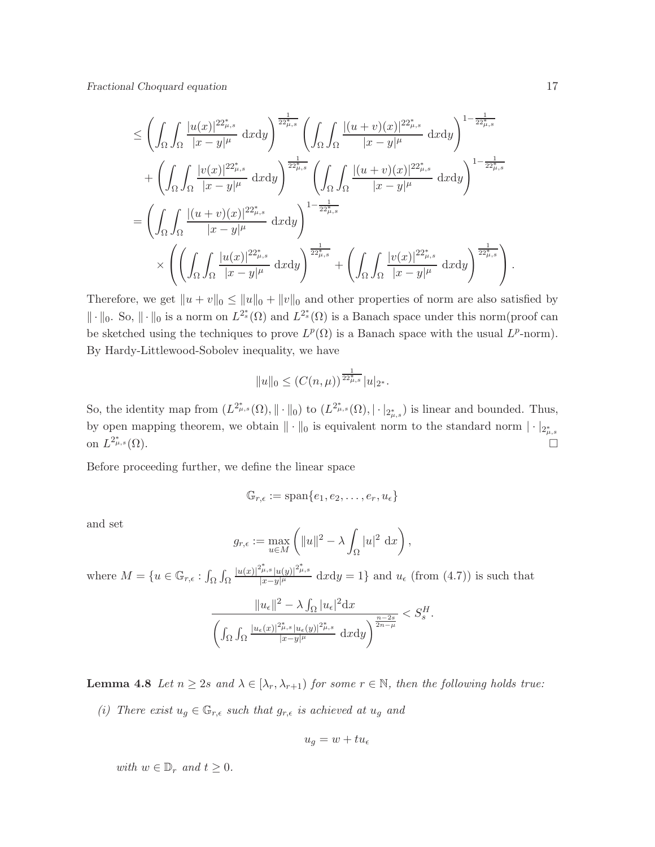Fractional Choquard equation 17

$$
\leq \left( \int_{\Omega} \int_{\Omega} \frac{|u(x)|^{22_{\mu,s}^*}}{|x - y|^{\mu}} \, dxdy \right)^{\frac{1}{22_{\mu,s}^*}} \left( \int_{\Omega} \int_{\Omega} \frac{|(u + v)(x)|^{22_{\mu,s}^*}}{|x - y|^{\mu}} \, dxdy \right)^{1 - \frac{1}{22_{\mu,s}^*}} \right. \\ \left. + \left( \int_{\Omega} \int_{\Omega} \frac{|v(x)|^{22_{\mu,s}^*}}{|x - y|^{\mu}} \, dxdy \right)^{\frac{1}{22_{\mu,s}^*}} \left( \int_{\Omega} \int_{\Omega} \frac{|(u + v)(x)|^{22_{\mu,s}^*}}{|x - y|^{\mu}} \, dxdy \right)^{1 - \frac{1}{22_{\mu,s}^*}} \right. \\ \left. = \left( \int_{\Omega} \int_{\Omega} \frac{|(u + v)(x)|^{22_{\mu,s}^*}}{|x - y|^{\mu}} \, dxdy \right)^{1 - \frac{1}{22_{\mu,s}^*}} \right) \times \left( \left( \int_{\Omega} \int_{\Omega} \frac{|u(x)|^{22_{\mu,s}^*}}{|x - y|^{\mu}} \, dxdy \right)^{\frac{1}{22_{\mu,s}^*}} + \left( \int_{\Omega} \int_{\Omega} \frac{|v(x)|^{22_{\mu,s}^*}}{|x - y|^{\mu}} \, dxdy \right)^{\frac{1}{22_{\mu,s}^*}} \right).
$$

Therefore, we get  $||u + v||_0 \le ||u||_0 + ||v||_0$  and other properties of norm are also satisfied by  $\|\cdot\|_0$ . So,  $\|\cdot\|_0$  is a norm on  $L^{2^*_s}(\Omega)$  and  $L^{2^*_s}(\Omega)$  is a Banach space under this norm(proof can be sketched using the techniques to prove  $L^p(\Omega)$  is a Banach space with the usual  $L^p$ -norm). By Hardy-Littlewood-Sobolev inequality, we have

$$
||u||_0 \le (C(n,\mu))^{\frac{1}{22\mu,s}} |u|_{2^*}.
$$

So, the identity map from  $(L^{2^*_{\mu,s}}(\Omega), \|\cdot\|_0)$  to  $(L^{2^*_{\mu,s}}(\Omega), \|\cdot\|_{2^*_{\mu,s}})$  is linear and bounded. Thus, by open mapping theorem, we obtain  $\|\cdot\|_0$  is equivalent norm to the standard norm  $|\cdot|_{2^*_{\mu,s}}$ on  $L^{2^*_{\mu}}$  $\mathcal{L}^*_{\mu,s}(\Omega).$ 

Before proceeding further, we define the linear space

$$
\mathbb{G}_{r,\epsilon}:=\mathrm{span}\{e_1,e_2,\ldots,e_r,u_\epsilon\}
$$

and set

$$
g_{r,\epsilon} := \max_{u \in M} \left( \|u\|^2 - \lambda \int_{\Omega} |u|^2 \, \mathrm{d}x \right),
$$

where  $M = \{u \in \mathbb{G}_{r,\epsilon} : \int_{\Omega} \int_{\Omega}$  $|u(x)|^{2_{\mu,s}^*}$   $|u(y)|^{2_{\mu,s}^*}$  $\frac{\mu_{\epsilon}|\mu(y)|}{|x-y|^{\mu}}$  dxdy = 1} and  $u_{\epsilon}$  (from (4.7)) is such that

$$
\frac{\|u_{\epsilon}\|^2 - \lambda \int_{\Omega} |u_{\epsilon}|^2 \mathrm{d}x}{\left(\int_{\Omega} \int_{\Omega} \frac{|u_{\epsilon}(x)|^{2\mu,s}_{\mu,\epsilon}(y)|^{2\mu,s}_{\mu}}{|x-y|^{\mu}} \mathrm{d}x \mathrm{d}y\right)^{\frac{n-2s}{2n-\mu}}} < S_s^H.
$$

**Lemma 4.8** Let  $n \geq 2s$  and  $\lambda \in [\lambda_r, \lambda_{r+1})$  for some  $r \in \mathbb{N}$ , then the following holds true:

(i) There exist  $u_g \in \mathbb{G}_{r,\epsilon}$  such that  $g_{r,\epsilon}$  is achieved at  $u_g$  and

$$
u_g=w+tu_\epsilon
$$

with  $w \in \mathbb{D}_r$  and  $t \geq 0$ .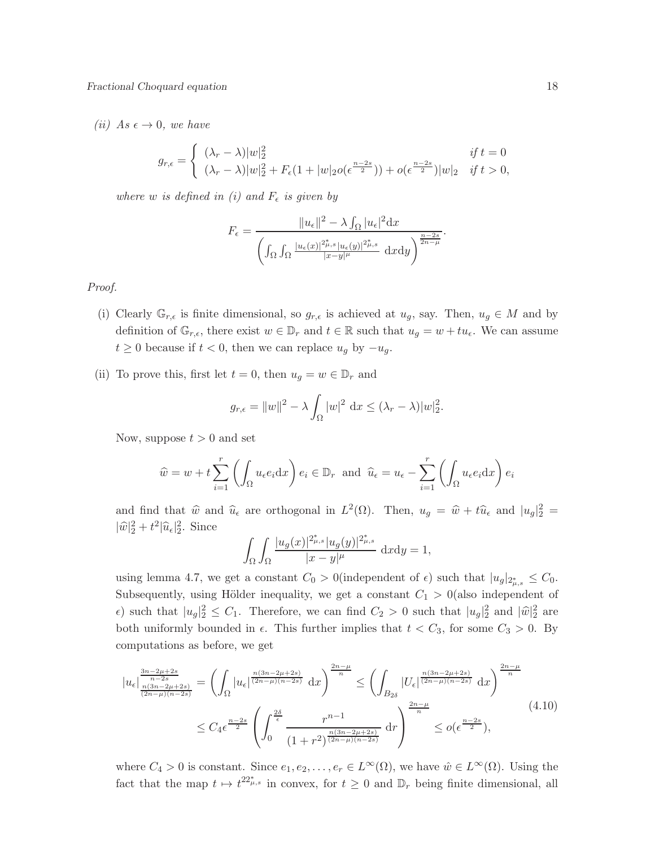(ii) As  $\epsilon \to 0$ , we have

$$
g_{r,\epsilon} = \begin{cases} (\lambda_r - \lambda)|w|_2^2 & \text{if } t = 0\\ (\lambda_r - \lambda)|w|_2^2 + F_{\epsilon}(1 + |w|_2 o(\epsilon^{\frac{n-2s}{2}})) + o(\epsilon^{\frac{n-2s}{2}})|w|_2 & \text{if } t > 0, \end{cases}
$$

where w is defined in (i) and  $F_{\epsilon}$  is given by

$$
F_{\epsilon} = \frac{\|u_{\epsilon}\|^2 - \lambda \int_{\Omega} |u_{\epsilon}|^2 dx}{\left(\int_{\Omega} \int_{\Omega} \frac{|u_{\epsilon}(x)|^{2\mu,s} |u_{\epsilon}(y)|^{2\mu,s}}{|x-y|^{\mu}} dx dy\right)^{\frac{n-2s}{2n-\mu}}}
$$

.

Proof.

- (i) Clearly  $\mathbb{G}_{r,\epsilon}$  is finite dimensional, so  $g_{r,\epsilon}$  is achieved at  $u_g$ , say. Then,  $u_g \in M$  and by definition of  $\mathbb{G}_{r,\epsilon}$ , there exist  $w \in \mathbb{D}_r$  and  $t \in \mathbb{R}$  such that  $u_g = w + tu_{\epsilon}$ . We can assume  $t \geq 0$  because if  $t < 0$ , then we can replace  $u_g$  by  $-u_g$ .
- (ii) To prove this, first let  $t = 0$ , then  $u_g = w \in \mathbb{D}_r$  and

$$
g_{r,\epsilon} = ||w||^2 - \lambda \int_{\Omega} |w|^2 dx \le (\lambda_r - \lambda) |w|_2^2.
$$

Now, suppose  $t > 0$  and set

$$
\widehat{w} = w + t \sum_{i=1}^{r} \left( \int_{\Omega} u_{\epsilon} e_i dx \right) e_i \in \mathbb{D}_r
$$
 and  $\widehat{u}_{\epsilon} = u_{\epsilon} - \sum_{i=1}^{r} \left( \int_{\Omega} u_{\epsilon} e_i dx \right) e_i$ 

and find that  $\hat{w}$  and  $\hat{u}_{\epsilon}$  are orthogonal in  $L^2(\Omega)$ . Then,  $u_g = \hat{w} + t\hat{u}_{\epsilon}$  and  $|u_g|^2 =$  $|\widehat{w}|_2^2 + t^2 |\widehat{u}_{\epsilon}|_2^2$ . Since

$$
\int_{\Omega} \int_{\Omega} \frac{|u_g(x)|^{2_{\mu,s}^*} |u_g(y)|^{2_{\mu,s}^*}}{|x - y|^{\mu}} \, dxdy = 1,
$$

using lemma 4.7, we get a constant  $C_0 > 0$  (independent of  $\epsilon$ ) such that  $|u_g|_{2^*_{\mu,s}} \leq C_0$ . Subsequently, using Hölder inequality, we get a constant  $C_1 > 0$  (also independent of  $\epsilon$ ) such that  $|u_g|^2 \leq C_1$ . Therefore, we can find  $C_2 > 0$  such that  $|u_g|^2$  and  $|\hat{w}|^2$  are both uniformly bounded in  $\epsilon$ . This further implies that  $t < C_3$ , for some  $C_3 > 0$ . By computations as before, we get

$$
|u_{\epsilon}| \frac{\frac{3n-2\mu+2s}{n-2s}}{\frac{n(3n-2\mu+2s)}{(2n-\mu)(n-2s)}} = \left(\int_{\Omega} |u_{\epsilon}| \frac{n(3n-2\mu+2s)}{(2n-\mu)(n-2s)} dx\right)^{\frac{2n-\mu}{n}} \le \left(\int_{B_{2\delta}} |U_{\epsilon}| \frac{n(3n-2\mu+2s)}{(2n-\mu)(n-2s)} dx\right)^{\frac{2n-\mu}{n}}
$$
  

$$
\le C_4 \epsilon^{\frac{n-2s}{2}} \left(\int_0^{\frac{2\delta}{\epsilon}} \frac{r^{n-1}}{(1+r^2)^{\frac{n(3n-2\mu+2s)}{(2n-\mu)(n-2s)}}} dr\right)^{\frac{2n-\mu}{n}} \le o(\epsilon^{\frac{n-2s}{2}}), \tag{4.10}
$$

where  $C_4 > 0$  is constant. Since  $e_1, e_2, \ldots, e_r \in L^{\infty}(\Omega)$ , we have  $\hat{w} \in L^{\infty}(\Omega)$ . Using the fact that the map  $t \mapsto t^{22^*_{\mu,s}}$  in convex, for  $t \geq 0$  and  $\mathbb{D}_r$  being finite dimensional, all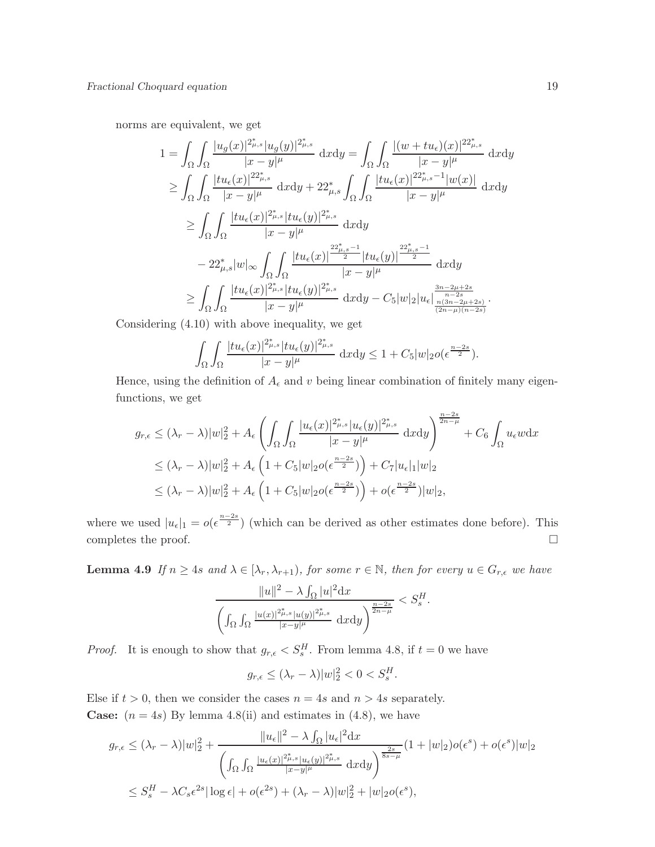norms are equivalent, we get

$$
1 = \int_{\Omega} \int_{\Omega} \frac{|u_g(x)|^{2_{\mu,s}^*} |u_g(y)|^{2_{\mu,s}^*}}{|x - y|^{\mu}} dxdy = \int_{\Omega} \int_{\Omega} \frac{|(w + tu_{\epsilon})(x)|^{22_{\mu,s}^*}}{|x - y|^{\mu}} dxdy
$$
  
\n
$$
\geq \int_{\Omega} \int_{\Omega} \frac{|tu_{\epsilon}(x)|^{22_{\mu,s}^*}}{|x - y|^{\mu}} dxdy + 22_{\mu,s}^* \int_{\Omega} \int_{\Omega} \frac{|tu_{\epsilon}(x)|^{22_{\mu,s}^* - 1} |w(x)|}{|x - y|^{\mu}} dxdy
$$
  
\n
$$
\geq \int_{\Omega} \int_{\Omega} \frac{|tu_{\epsilon}(x)|^{2_{\mu,s}^*} |tu_{\epsilon}(y)|^{2_{\mu,s}^*}}{|x - y|^{\mu}} dxdy
$$
  
\n
$$
- 22_{\mu,s}^* |w|_{\infty} \int_{\Omega} \int_{\Omega} \frac{|tu_{\epsilon}(x)|^{2_{\mu,s}^* - 1}}{|x - y|^{\mu}} |tu_{\epsilon}(y)|^{\frac{22_{\mu,s}^* - 1}{2}} dxdy
$$
  
\n
$$
\geq \int_{\Omega} \int_{\Omega} \frac{|tu_{\epsilon}(x)|^{2_{\mu,s}^*} |tu_{\epsilon}(y)|^{2_{\mu,s}^*}}{|x - y|^{\mu}} dxdy - C_5|w|_{2}|u_{\epsilon} \Big|_{\frac{n-2\mu+2s}{n-2s}}^{\frac{3n-2\mu+2s}{n-2s}}{\frac{n-2s}{(2n-\mu)(n-2s)}}.
$$

Considering (4.10) with above inequality, we get

$$
\int_{\Omega} \int_{\Omega} \frac{|tu_{\epsilon}(x)|^{2_{\mu,s}^*} |tu_{\epsilon}(y)|^{2_{\mu,s}^*}}{|x-y|^{\mu}} dxdy \leq 1 + C_5|w|_2 o(\epsilon^{\frac{n-2s}{2}}).
$$

Hence, using the definition of  $A_{\epsilon}$  and v being linear combination of finitely many eigenfunctions, we get

$$
g_{r,\epsilon} \leq (\lambda_r - \lambda)|w|_2^2 + A_{\epsilon} \left( \int_{\Omega} \int_{\Omega} \frac{|u_{\epsilon}(x)|^{2_{\mu,s}^*} |u_{\epsilon}(y)|^{2_{\mu,s}^*}}{|x - y|^{\mu}} dxdy \right)^{\frac{n-2s}{2n-\mu}} + C_6 \int_{\Omega} u_{\epsilon}w dx
$$
  

$$
\leq (\lambda_r - \lambda)|w|_2^2 + A_{\epsilon} \left( 1 + C_5|w|_2 o(\epsilon^{\frac{n-2s}{2}}) \right) + C_7|u_{\epsilon}|_1|w|_2
$$
  

$$
\leq (\lambda_r - \lambda)|w|_2^2 + A_{\epsilon} \left( 1 + C_5|w|_2 o(\epsilon^{\frac{n-2s}{2}}) \right) + o(\epsilon^{\frac{n-2s}{2}})|w|_2,
$$

where we used  $|u_{\epsilon}|_1 = o(\epsilon^{\frac{n-2s}{2}})$  (which can be derived as other estimates done before). This completes the proof.  $\Box$ 

**Lemma 4.9** If  $n \geq 4s$  and  $\lambda \in [\lambda_r, \lambda_{r+1})$ , for some  $r \in \mathbb{N}$ , then for every  $u \in G_{r,\epsilon}$  we have

$$
\frac{\|u\|^2 - \lambda \int_{\Omega} |u|^2 \mathrm{d}x}{\left( \int_{\Omega} \int_{\Omega} \frac{|u(x)|^{2\mu,s} |u(y)|^{2\mu,s}}{|x-y|^{\mu}} \mathrm{d}x \mathrm{d}y \right)^{\frac{n-2s}{2n-\mu}}} < S_s^H.
$$

*Proof.* It is enough to show that  $g_{r,\epsilon} < S_s^H$ . From lemma 4.8, if  $t = 0$  we have

$$
g_{r,\epsilon} \le (\lambda_r - \lambda) |w|_2^2 < 0 < S_s^H.
$$

Else if  $t > 0$ , then we consider the cases  $n = 4s$  and  $n > 4s$  separately. **Case:**  $(n = 4s)$  By lemma 4.8(ii) and estimates in (4.8), we have

$$
g_{r,\epsilon} \leq (\lambda_r - \lambda)|w|_2^2 + \frac{||u_{\epsilon}||^2 - \lambda \int_{\Omega} |u_{\epsilon}|^2 dx}{\left(\int_{\Omega} \int_{\Omega} \frac{|u_{\epsilon}(x)|^{2\mu_{\epsilon}} s|u_{\epsilon}(y)|^{2\mu_{\epsilon}}}{|x-y|^{\mu}} dx dy\right)^{\frac{2s}{8s-\mu}}}(1+|w|_2) o(\epsilon^s) + o(\epsilon^s)|w|_2
$$
  

$$
\leq S_s^H - \lambda C_s \epsilon^{2s} |\log \epsilon| + o(\epsilon^{2s}) + (\lambda_r - \lambda)|w|_2^2 + |w|_2 o(\epsilon^s),
$$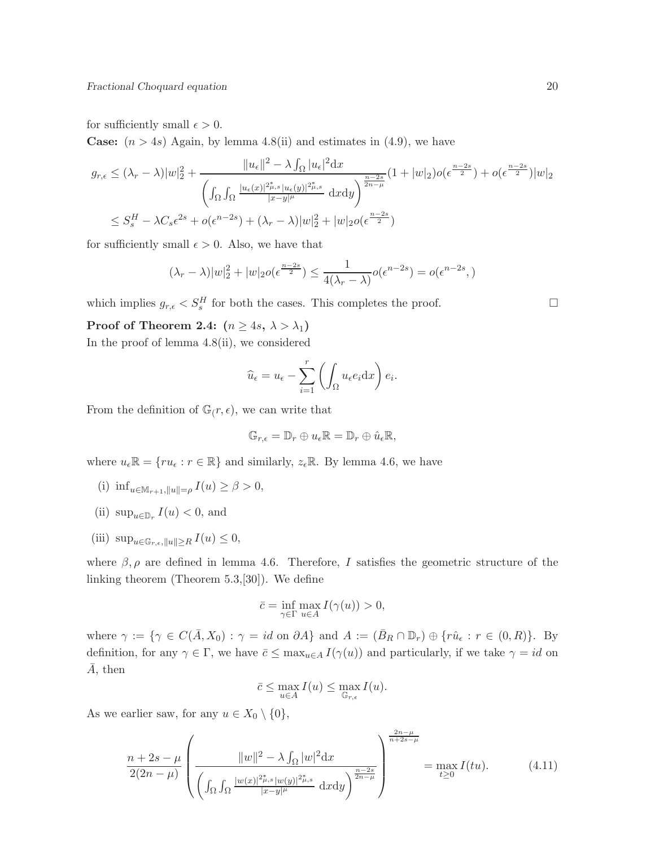for sufficiently small  $\epsilon > 0$ .

**Case:**  $(n > 4s)$  Again, by lemma 4.8(ii) and estimates in (4.9), we have

$$
g_{r,\epsilon} \leq (\lambda_r - \lambda)|w|_2^2 + \frac{||u_{\epsilon}||^2 - \lambda \int_{\Omega} |u_{\epsilon}|^2 dx}{\left(\int_{\Omega} \int_{\Omega} \frac{|u_{\epsilon}(x)|^{2\mu_{\epsilon}} u_{\epsilon}(y)|^{2\mu_{\epsilon}}}{|x-y|^{\mu}} dx dy\right)^{\frac{n-2s}{2n-\mu}}}(1+|w|_2) o(\epsilon^{\frac{n-2s}{2}}) + o(\epsilon^{\frac{n-2s}{2}})|w|_2
$$
  

$$
\leq S_s^H - \lambda C_s \epsilon^{2s} + o(\epsilon^{n-2s}) + (\lambda_r - \lambda)|w|_2^2 + |w|_2 o(\epsilon^{\frac{n-2s}{2}})
$$

for sufficiently small  $\epsilon > 0$ . Also, we have that

$$
(\lambda_r - \lambda)|w|_2^2 + |w|_2 o(\epsilon^{\frac{n-2s}{2}}) \le \frac{1}{4(\lambda_r - \lambda)} o(\epsilon^{n-2s}) = o(\epsilon^{n-2s},)
$$

which implies  $g_{r,\epsilon} < S_s^H$  for both the cases. This completes the proof.

Proof of Theorem 2.4:  $(n \geq 4s, \lambda > \lambda_1)$ 

In the proof of lemma 4.8(ii), we considered

$$
\widehat{u}_{\epsilon} = u_{\epsilon} - \sum_{i=1}^{r} \left( \int_{\Omega} u_{\epsilon} e_i \mathrm{d}x \right) e_i.
$$

From the definition of  $\mathbb{G}(r,\epsilon)$ , we can write that

$$
\mathbb{G}_{r,\epsilon}=\mathbb{D}_r\oplus u_{\epsilon}\mathbb{R}=\mathbb{D}_r\oplus\hat{u}_{\epsilon}\mathbb{R},
$$

where  $u_{\epsilon} \mathbb{R} = \{r u_{\epsilon} : r \in \mathbb{R}\}\$  and similarly,  $z_{\epsilon} \mathbb{R}$ . By lemma 4.6, we have

- (i)  $\inf_{u \in \mathbb{M}_{r+1}, \|u\| = \rho} I(u) \geq \beta > 0,$
- (ii)  $\sup_{u \in \mathbb{D}_r} I(u) < 0$ , and
- (iii)  $\sup_{u \in \mathbb{G}_{r,\epsilon}, \|u\| \geq R} I(u) \leq 0,$

where  $\beta$ ,  $\rho$  are defined in lemma 4.6. Therefore, I satisfies the geometric structure of the linking theorem (Theorem 5.3,[30]). We define

$$
\bar{c}=\inf_{\gamma\in\Gamma}\max_{u\in A}I(\gamma(u))>0,
$$

where  $\gamma := \{ \gamma \in C(\overline{A}, X_0) : \gamma = id \text{ on } \partial A \}$  and  $A := (\overline{B}_R \cap \mathbb{D}_r) \oplus \{ r\hat{u}_{\epsilon} : r \in (0, R) \}.$  By definition, for any  $\gamma \in \Gamma$ , we have  $\bar{c} \leq \max_{u \in A} I(\gamma(u))$  and particularly, if we take  $\gamma = id$  on  $A$ , then

$$
\bar{c} \le \max_{u \in A} I(u) \le \max_{\mathbb{G}_{r,\epsilon}} I(u).
$$

As we earlier saw, for any  $u \in X_0 \setminus \{0\},\$ 

$$
\frac{n+2s-\mu}{2(2n-\mu)}\left(\frac{\|w\|^2 - \lambda \int_{\Omega} |w|^2 \mathrm{d}x}{\left(\int_{\Omega} \int_{\Omega} \frac{|w(x)|^{2\mu,s} |w(y)|^{2\mu,s}}{|x-y|^{\mu}} \mathrm{d}x \mathrm{d}y}\right)^{\frac{n-2s}{2n-\mu}}\right) = \max_{t \ge 0} I(tu). \tag{4.11}
$$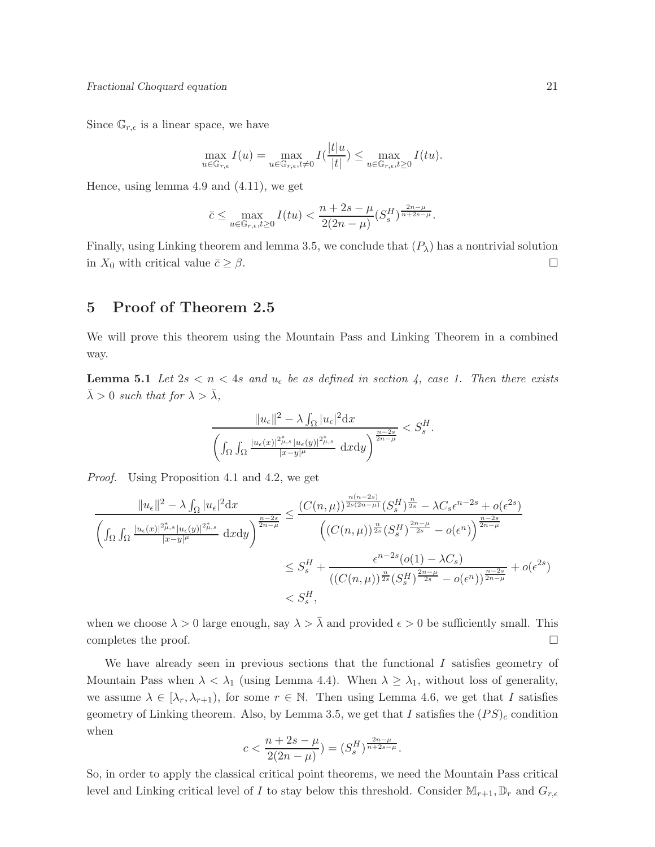Since  $\mathbb{G}_{r,\epsilon}$  is a linear space, we have

$$
\max_{u \in \mathbb{G}_{r,\epsilon}} I(u) = \max_{u \in \mathbb{G}_{r,\epsilon}, t \neq 0} I(\frac{|t|u}{|t|}) \le \max_{u \in \mathbb{G}_{r,\epsilon}, t \ge 0} I(tu).
$$

Hence, using lemma 4.9 and (4.11), we get

$$
\bar{c}\leq \max_{u\in\mathbb{G}_{{r,\epsilon}},t\geq 0}I(tu)<\frac{n+2s-\mu}{2(2n-\mu)}(S^{H}_{s})^{\frac{2n-\mu}{n+2s-\mu}}.
$$

Finally, using Linking theorem and lemma 3.5, we conclude that  $(P_\lambda)$  has a nontrivial solution in  $X_0$  with critical value  $\bar{c} \geq \beta$ .

## 5 Proof of Theorem 2.5

We will prove this theorem using the Mountain Pass and Linking Theorem in a combined way.

**Lemma 5.1** Let  $2s < n < 4s$  and  $u_{\epsilon}$  be as defined in section 4, case 1. Then there exists  $\bar{\lambda} > 0$  such that for  $\lambda > \bar{\lambda}$ ,

$$
\frac{\|u_{\epsilon}\|^2 - \lambda \int_{\Omega} |u_{\epsilon}|^2 dx}{\left(\int_{\Omega} \int_{\Omega} \frac{|u_{\epsilon}(x)|^{2\mu_{\epsilon}} |u_{\epsilon}(y)|^{2\mu_{\epsilon}}}{|x-y|^{\mu}} dx dy\right)^{\frac{n-2s}{2n-\mu}}} < S_s^H.
$$

Proof. Using Proposition 4.1 and 4.2, we get

$$
\frac{\|u_{\epsilon}\|^2 - \lambda \int_{\Omega} |u_{\epsilon}|^2 dx}{\left(\int_{\Omega} \int_{\Omega} \frac{|u_{\epsilon}(x)|^{2\mu,s} |u_{\epsilon}(y)|^{2\mu,s}}{|x-y|^{\mu}} dxdy\right)^{\frac{n-2s}{2n-\mu}}} \leq \frac{\left(C(n,\mu)\right)^{\frac{n(n-2s)}{2s(2n-\mu)}} \left(S_s^H\right)^{\frac{n}{2s}} - \lambda C_s \epsilon^{n-2s} + o(\epsilon^{2s})}{\left(\left(C(n,\mu)\right)^{\frac{n}{2s}} \left(S_s^H\right)^{\frac{2n-\mu}{2s}} - o(\epsilon^n)\right)^{\frac{n-2s}{2n-\mu}}} \leq S_s^H + \frac{\epsilon^{n-2s}(o(1) - \lambda C_s)}{\left(\left(C(n,\mu)\right)^{\frac{n}{2s}} \left(S_s^H\right)^{\frac{2n-\mu}{2s}} - o(\epsilon^n)\right)^{\frac{n-2s}{2n-\mu}}} + o(\epsilon^{2s})
$$
  
 $< S_s^H,$ 

when we choose  $\lambda > 0$  large enough, say  $\lambda > \overline{\lambda}$  and provided  $\epsilon > 0$  be sufficiently small. This completes the proof.  $\Box$ 

We have already seen in previous sections that the functional  $I$  satisfies geometry of Mountain Pass when  $\lambda < \lambda_1$  (using Lemma 4.4). When  $\lambda \geq \lambda_1$ , without loss of generality, we assume  $\lambda \in [\lambda_r, \lambda_{r+1})$ , for some  $r \in \mathbb{N}$ . Then using Lemma 4.6, we get that I satisfies geometry of Linking theorem. Also, by Lemma 3.5, we get that I satisfies the  $(PS)_c$  condition when

$$
c<\frac{n+2s-\mu}{2(2n-\mu)}=(S^{H}_{s})^{\frac{2n-\mu}{n+2s-\mu}}.
$$

So, in order to apply the classical critical point theorems, we need the Mountain Pass critical level and Linking critical level of I to stay below this threshold. Consider  $M_{r+1}, \mathbb{D}_r$  and  $G_{r,\epsilon}$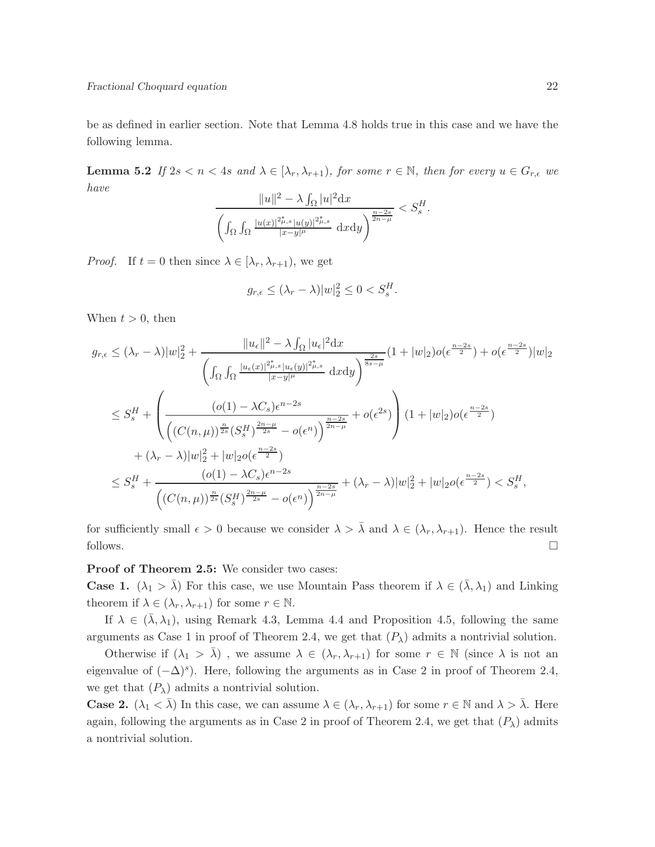be as defined in earlier section. Note that Lemma 4.8 holds true in this case and we have the following lemma.

**Lemma 5.2** If  $2s < n < 4s$  and  $\lambda \in [\lambda_r, \lambda_{r+1})$ , for some  $r \in \mathbb{N}$ , then for every  $u \in G_{r,\epsilon}$  we have

$$
\frac{\|u\|^2 - \lambda \int_{\Omega} |u|^2 \mathrm{d}x}{\left( \int_{\Omega} \int_{\Omega} \frac{|u(x)|^{2\mu_{s,s}} |u(y)|^{2\mu_{s,s}}}{|x-y|^{\mu}} \mathrm{d}x \mathrm{d}y \right)^{\frac{n-2s}{2n-\mu}}} < S_s^H.
$$

*Proof.* If  $t = 0$  then since  $\lambda \in [\lambda_r, \lambda_{r+1})$ , we get

$$
g_{r,\epsilon} \le (\lambda_r - \lambda) |w|_2^2 \le 0 < S_s^H.
$$

When  $t > 0$ , then

$$
g_{r,\epsilon} \leq (\lambda_r - \lambda)|w|_2^2 + \frac{||u_{\epsilon}||^2 - \lambda \int_{\Omega} |u_{\epsilon}|^2 dx}{\left(\int_{\Omega} \int_{\Omega} \frac{|u_{\epsilon}(x)|^{2\mu_{s,s}} |u_{\epsilon}(y)|^{2\mu_{s,s}}}{|x-y|^{\mu}} dx dy\right)^{\frac{2s}{8s-\mu}}}(1+|w|_2) o(\epsilon^{\frac{n-2s}{2}}) + o(\epsilon^{\frac{n-2s}{2}})|w|_2
$$
  

$$
\leq S_s^H + \left(\frac{(o(1) - \lambda C_s)\epsilon^{n-2s}}{\left((C(n,\mu))^{\frac{n}{2s}}(S_s^H)^{\frac{2n-\mu}{2s}} - o(\epsilon^n)\right)^{\frac{n-2s}{2n-\mu}}} + o(\epsilon^{2s})\right) (1+|w|_2) o(\epsilon^{\frac{n-2s}{2}})
$$
  

$$
+ (\lambda_r - \lambda)|w|_2^2 + |w|_2 o(\epsilon^{\frac{n-2s}{2}})
$$
  

$$
\leq S_s^H + \frac{(o(1) - \lambda C_s)\epsilon^{n-2s}}{\left((C(n,\mu))^{\frac{n}{2s}}(S_s^H)^{\frac{2n-\mu}{2s}} - o(\epsilon^n)\right)^{\frac{n-2s}{2n-\mu}}} + (\lambda_r - \lambda)|w|_2^2 + |w|_2 o(\epsilon^{\frac{n-2s}{2}}) < S_s^H,
$$

for sufficiently small  $\epsilon > 0$  because we consider  $\lambda > \overline{\lambda}$  and  $\lambda \in (\lambda_r, \lambda_{r+1})$ . Hence the result follows.  $\Box$ 

#### Proof of Theorem 2.5: We consider two cases:

**Case 1.**  $(\lambda_1 > \overline{\lambda})$  For this case, we use Mountain Pass theorem if  $\lambda \in (\overline{\lambda}, \lambda_1)$  and Linking theorem if  $\lambda \in (\lambda_r, \lambda_{r+1})$  for some  $r \in \mathbb{N}$ .

If  $\lambda \in (\bar{\lambda}, \lambda_1)$ , using Remark 4.3, Lemma 4.4 and Proposition 4.5, following the same arguments as Case 1 in proof of Theorem 2.4, we get that  $(P_\lambda)$  admits a nontrivial solution.

Otherwise if  $(\lambda_1 > \lambda)$ , we assume  $\lambda \in (\lambda_r, \lambda_{r+1})$  for some  $r \in \mathbb{N}$  (since  $\lambda$  is not an eigenvalue of  $(-\Delta)^s$ ). Here, following the arguments as in Case 2 in proof of Theorem 2.4, we get that  $(P_{\lambda})$  admits a nontrivial solution.

**Case 2.**  $(\lambda_1 < \overline{\lambda})$  In this case, we can assume  $\lambda \in (\lambda_r, \lambda_{r+1})$  for some  $r \in \mathbb{N}$  and  $\lambda > \overline{\lambda}$ . Here again, following the arguments as in Case 2 in proof of Theorem 2.4, we get that  $(P_\lambda)$  admits a nontrivial solution.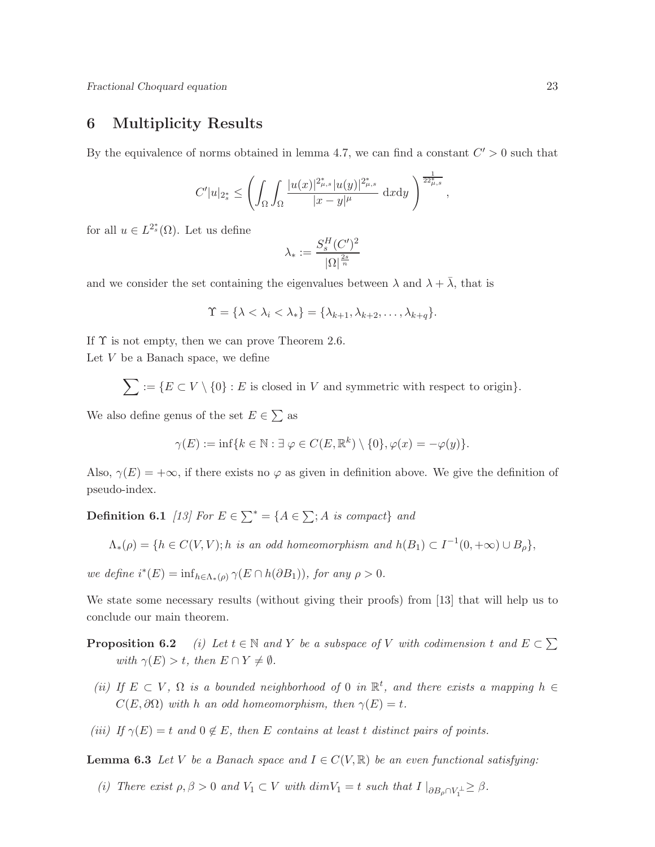# 6 Multiplicity Results

By the equivalence of norms obtained in lemma 4.7, we can find a constant  $C' > 0$  such that

$$
C'|u|_{2_s^*} \le \left(\int_\Omega \int_\Omega \frac{|u(x)|^{2_{\mu,s}^*} |u(y)|^{2_{\mu,s}^*}}{|x-y|^\mu} \; \mathrm{d}x \mathrm{d}y \; \right)^{\frac{1}{22_{\mu,s}^*}},
$$

for all  $u \in L^{2^*_s}(\Omega)$ . Let us define

$$
\lambda_* := \frac{S_s^H(C')^2}{|\Omega|^{\frac{2s}{n}}}
$$

and we consider the set containing the eigenvalues between  $\lambda$  and  $\lambda + \overline{\lambda}$ , that is

$$
\Upsilon = \{\lambda < \lambda_i < \lambda_*\} = \{\lambda_{k+1}, \lambda_{k+2}, \ldots, \lambda_{k+q}\}.
$$

If  $\Upsilon$  is not empty, then we can prove Theorem 2.6. Let  $V$  be a Banach space, we define

 $\sum := \{E \subset V \setminus \{0\} : E \text{ is closed in } V \text{ and symmetric with respect to origin}\}.$ 

We also define genus of the set  $E \in \sum$  as

$$
\gamma(E) := \inf \{ k \in \mathbb{N} : \exists \, \varphi \in C(E, \mathbb{R}^k) \setminus \{0\}, \varphi(x) = -\varphi(y) \}.
$$

Also,  $\gamma(E) = +\infty$ , if there exists no  $\varphi$  as given in definition above. We give the definition of pseudo-index.

**Definition 6.1** [13] For  $E \in \sum^* = \{A \in \sum; A \text{ is compact}\}$  and

 $\Lambda_*(\rho) = \{ h \in C(V, V); h \text{ is an odd homeomorphism and } h(B_1) \subset I^{-1}(0, +\infty) \cup B_\rho \},$ 

we define  $i^*(E) = \inf_{h \in \Lambda_*(\rho)} \gamma(E \cap h(\partial B_1)),$  for any  $\rho > 0$ .

We state some necessary results (without giving their proofs) from [13] that will help us to conclude our main theorem.

- **Proposition 6.2** (i) Let  $t \in \mathbb{N}$  and Y be a subspace of V with codimension t and  $E \subset \sum$ with  $\gamma(E) > t$ , then  $E \cap Y \neq \emptyset$ .
- (ii) If  $E \subset V$ ,  $\Omega$  is a bounded neighborhood of 0 in  $\mathbb{R}^t$ , and there exists a mapping  $h \in$  $C(E, \partial \Omega)$  with h an odd homeomorphism, then  $\gamma(E) = t$ .
- (iii) If  $\gamma(E) = t$  and  $0 \notin E$ , then E contains at least t distinct pairs of points.

**Lemma 6.3** Let V be a Banach space and  $I \in C(V, \mathbb{R})$  be an even functional satisfying:

(i) There exist  $\rho, \beta > 0$  and  $V_1 \subset V$  with  $dim V_1 = t$  such that  $I \big|_{\partial B_{\rho} \cap V_1^{\perp}} \geq \beta$ .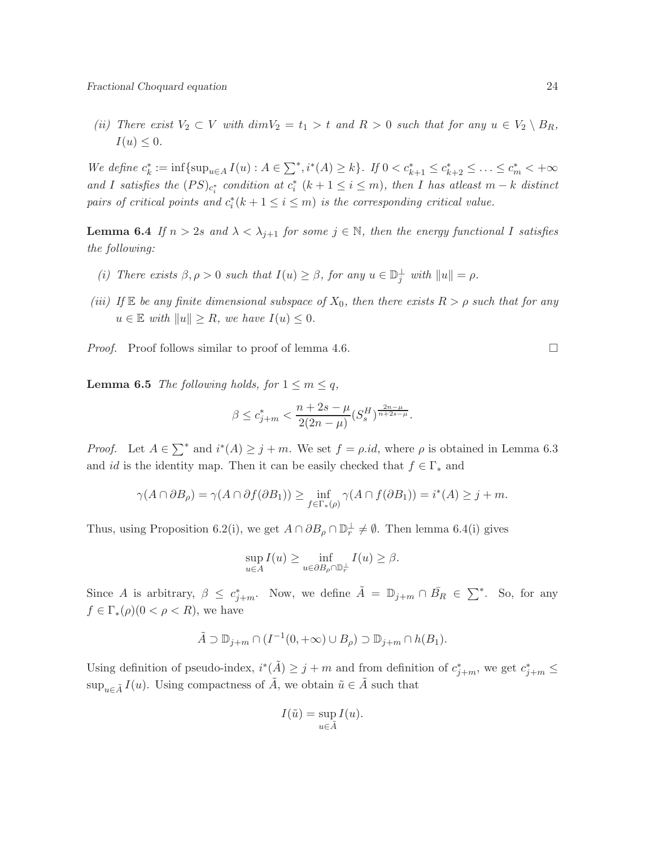(ii) There exist  $V_2 \subset V$  with  $dim V_2 = t_1 > t$  and  $R > 0$  such that for any  $u \in V_2 \setminus B_R$ ,  $I(u) \leq 0.$ 

We define  $c_k^* := \inf \{ \sup_{u \in A} I(u) : A \in \sum^* , i^*(A) \geq k \}$ . If  $0 < c_{k+1}^* \leq c_{k+2}^* \leq \ldots \leq c_m^* < +\infty$ and I satisfies the  $(PS)_{c_i^*}$  condition at  $c_i^*$   $(k + 1 \le i \le m)$ , then I has atleast  $m - k$  distinct pairs of critical points and  $c_i^*(k + 1 \leq i \leq m)$  is the corresponding critical value.

**Lemma 6.4** If  $n > 2s$  and  $\lambda < \lambda_{j+1}$  for some  $j \in \mathbb{N}$ , then the energy functional I satisfies the following:

- (i) There exists  $\beta, \rho > 0$  such that  $I(u) \geq \beta$ , for any  $u \in \mathbb{D}_j^{\perp}$  with  $||u|| = \rho$ .
- (iii) If  $\mathbb E$  be any finite dimensional subspace of  $X_0$ , then there exists  $R > \rho$  such that for any  $u \in \mathbb{E}$  with  $||u|| \geq R$ , we have  $I(u) \leq 0$ .

*Proof.* Proof follows similar to proof of lemma 4.6.

**Lemma 6.5** The following holds, for  $1 \le m \le q$ ,

$$
\beta \le c_{j+m}^* < \frac{n+2s-\mu}{2(2n-\mu)} (S_s^H)^{\frac{2n-\mu}{n+2s-\mu}}.
$$

*Proof.* Let  $A \in \sum^*$  and  $i^*(A) \geq j + m$ . We set  $f = \rho.id$ , where  $\rho$  is obtained in Lemma 6.3 and id is the identity map. Then it can be easily checked that  $f \in \Gamma_*$  and

$$
\gamma(A \cap \partial B_{\rho}) = \gamma(A \cap \partial f(\partial B_{1})) \ge \inf_{f \in \Gamma_{*}(\rho)} \gamma(A \cap f(\partial B_{1})) = i^{*}(A) \ge j + m.
$$

Thus, using Proposition 6.2(i), we get  $A \cap \partial B_\rho \cap \mathbb{D}_r^{\perp} \neq \emptyset$ . Then lemma 6.4(i) gives

$$
\sup_{u \in A} I(u) \ge \inf_{u \in \partial B_{\rho} \cap \mathbb{D}_{r}^{\perp}} I(u) \ge \beta.
$$

Since A is arbitrary,  $\beta \leq c_{j+m}^*$ . Now, we define  $\tilde{A} = \mathbb{D}_{j+m} \cap \overline{B}_R \in \sum^*$ . So, for any  $f \in \Gamma_*(\rho) (0 < \rho < R)$ , we have

$$
\tilde{A} \supset \mathbb{D}_{j+m} \cap (I^{-1}(0,+\infty) \cup B_{\rho}) \supset \mathbb{D}_{j+m} \cap h(B_1).
$$

Using definition of pseudo-index,  $i^*(\tilde{A}) \geq j+m$  and from definition of  $c^*_{j+m}$ , we get  $c^*_{j+m} \leq$  $\sup_{u \in \tilde{A}} I(u)$ . Using compactness of  $\tilde{A}$ , we obtain  $\tilde{u} \in \tilde{A}$  such that

$$
I(\tilde{u}) = \sup_{u \in \tilde{A}} I(u).
$$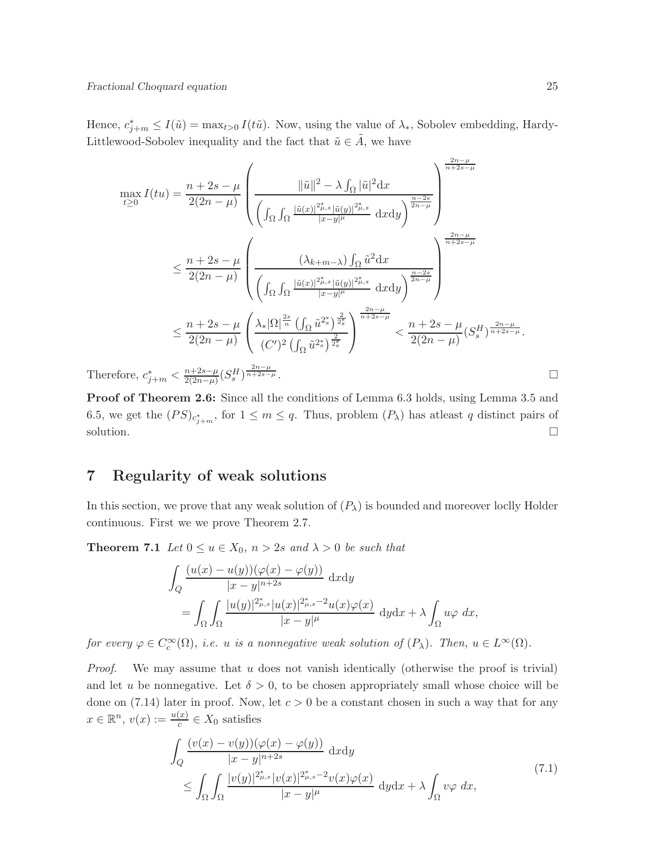Hence,  $c_{j+m}^* \leq I(\tilde{u}) = \max_{t>0} I(t\tilde{u})$ . Now, using the value of  $\lambda_*$ , Sobolev embedding, Hardy-Littlewood-Sobolev inequality and the fact that  $\tilde{u} \in \tilde{A}$ , we have

$$
\max_{t\geq 0} I(tu) = \frac{n+2s-\mu}{2(2n-\mu)} \left( \frac{\|\tilde{u}\|^2 - \lambda \int_{\Omega} |\tilde{u}|^2 dx}{\left( \int_{\Omega} \int_{\Omega} \frac{|\tilde{u}(x)|^{2\tilde{\mu},s} |\tilde{u}(y)|^{2\tilde{\mu},s}}{|x-y|^{\mu}} dx dy \right)^{\frac{n-2s}{2n-\mu}}} \right)^{\frac{2n-\mu}{n+2s-\mu}}
$$
\n
$$
\leq \frac{n+2s-\mu}{2(2n-\mu)} \left( \frac{(\lambda_{k+m-\lambda}) \int_{\Omega} \tilde{u}^2 dx}{\left( \int_{\Omega} \int_{\Omega} \frac{|\tilde{u}(x)|^{2\tilde{\mu},s} |\tilde{u}(y)|^{2\tilde{\mu},s}}{|x-y|^{\mu}} dx dy \right)^{\frac{n-2s}{2n-\mu}}} \right)^{\frac{2n-\mu}{n+2s-\mu}}
$$
\n
$$
\leq \frac{n+2s-\mu}{2(2n-\mu)} \left( \frac{\lambda_{*} |\Omega|^{\frac{2s}{n}} \left( \int_{\Omega} \tilde{u}^{2s} \right)^{\frac{2}{2s}}}{(C')^2 \left( \int_{\Omega} \tilde{u}^{2s} \right)^{\frac{2}{2s}}} \right)^{\frac{2n-\mu}{n+2s-\mu}} < \frac{n+2s-\mu}{2(2n-\mu)} (S_s^H)^{\frac{2n-\mu}{n+2s-\mu}}.
$$
\nfore,  $c_{i+m}^* < \frac{n+2s-\mu}{2(n-m)} (S_s^H)^{\frac{2n-\mu}{n+2s-\mu}}.$ 

\nUse  $C_s^*$  and  $C_s^*$  is a constant.

Therefore,  $c_{j+m}^* < \frac{n+2s-\mu}{2(2n-\mu)}$  $\frac{n+2s-\mu}{2(2n-\mu)}(S_s^H)$ 

Proof of Theorem 2.6: Since all the conditions of Lemma 6.3 holds, using Lemma 3.5 and 6.5, we get the  $(PS)_{c_{j+m}^*}$ , for  $1 \leq m \leq q$ . Thus, problem  $(P_{\lambda})$  has atleast q distinct pairs of solution.  $\Box$ 

## 7 Regularity of weak solutions

In this section, we prove that any weak solution of  $(P_\lambda)$  is bounded and moreover loclly Holder continuous. First we we prove Theorem 2.7.

**Theorem 7.1** Let  $0 \le u \in X_0$ ,  $n > 2s$  and  $\lambda > 0$  be such that

$$
\int_{Q} \frac{(u(x) - u(y))(\varphi(x) - \varphi(y))}{|x - y|^{n+2s}} dxdy
$$
\n
$$
= \int_{\Omega} \int_{\Omega} \frac{|u(y)|^{2\mu_{\beta}}}{|x - y|^{\mu}} \, dx \, dy \, dy \, dy \, dx + \lambda \int_{\Omega} u\varphi \, dx,
$$

for every  $\varphi \in C_c^{\infty}(\Omega)$ , i.e. u is a nonnegative weak solution of  $(P_{\lambda})$ . Then,  $u \in L^{\infty}(\Omega)$ .

Proof. We may assume that u does not vanish identically (otherwise the proof is trivial) and let u be nonnegative. Let  $\delta > 0$ , to be chosen appropriately small whose choice will be done on (7.14) later in proof. Now, let  $c > 0$  be a constant chosen in such a way that for any  $x \in \mathbb{R}^n$ ,  $v(x) := \frac{u(x)}{c} \in X_0$  satisfies

$$
\int_{Q} \frac{(v(x) - v(y))(\varphi(x) - \varphi(y))}{|x - y|^{n+2s}} dxdy
$$
\n
$$
\leq \int_{\Omega} \int_{\Omega} \frac{|v(y)|^{2_{\mu,s}^{*}} |v(x)|^{2_{\mu,s}^{*}-2} v(x) \varphi(x)}{|x - y|^{\mu}} dxdx + \lambda \int_{\Omega} v \varphi dx,
$$
\n(7.1)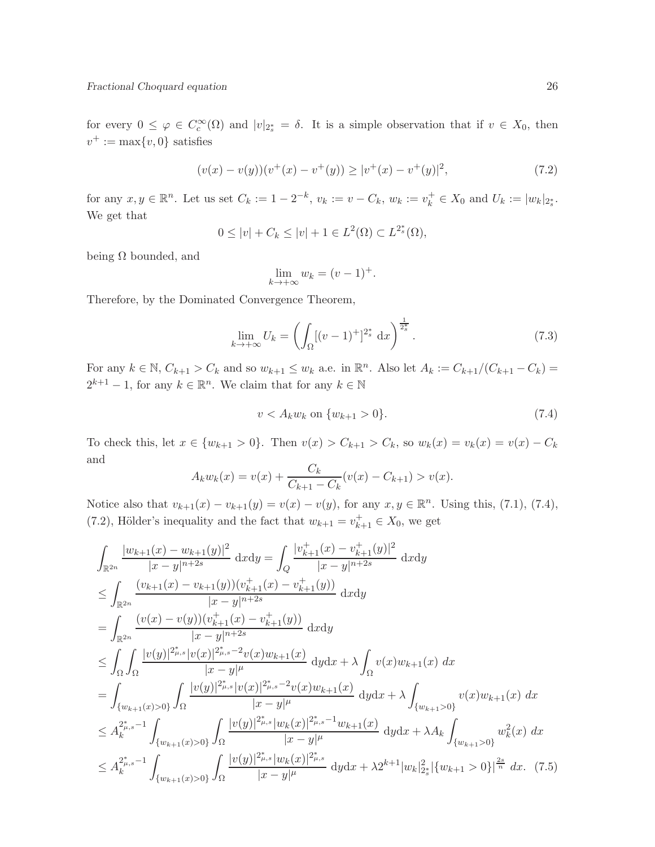for every  $0 \leq \varphi \in C_c^{\infty}(\Omega)$  and  $|v|_{2^*_s} = \delta$ . It is a simple observation that if  $v \in X_0$ , then  $v^+ := \max\{v, 0\}$  satisfies

$$
(v(x) - v(y))(v^+(x) - v^+(y)) \ge |v^+(x) - v^+(y)|^2,
$$
\n(7.2)

for any  $x, y \in \mathbb{R}^n$ . Let us set  $C_k := 1 - 2^{-k}$ ,  $v_k := v - C_k$ ,  $w_k := v_k^+ \in X_0$  and  $U_k := |w_k|_{2^*_s}$ . We get that

$$
0 \le |v| + C_k \le |v| + 1 \in L^2(\Omega) \subset L^{2_s^*}(\Omega),
$$

being  $\Omega$  bounded, and

$$
\lim_{k \to +\infty} w_k = (v - 1)^+.
$$

Therefore, by the Dominated Convergence Theorem,

$$
\lim_{k \to +\infty} U_k = \left( \int_{\Omega} [(v-1)^+]^{2_s^*} dx \right)^{\frac{1}{2_s^*}}.
$$
\n(7.3)

For any  $k \in \mathbb{N}$ ,  $C_{k+1} > C_k$  and so  $w_{k+1} \leq w_k$  a.e. in  $\mathbb{R}^n$ . Also let  $A_k := C_{k+1}/(C_{k+1} - C_k)$  $2^{k+1} - 1$ , for any  $k \in \mathbb{R}^n$ . We claim that for any  $k \in \mathbb{N}$ 

$$
v < A_k w_k \text{ on } \{w_{k+1} > 0\}. \tag{7.4}
$$

To check this, let  $x \in \{w_{k+1} > 0\}$ . Then  $v(x) > C_{k+1} > C_k$ , so  $w_k(x) = v_k(x) = v(x) - C_k$ and

$$
A_k w_k(x) = v(x) + \frac{C_k}{C_{k+1} - C_k}(v(x) - C_{k+1}) > v(x).
$$

Notice also that  $v_{k+1}(x) - v_{k+1}(y) = v(x) - v(y)$ , for any  $x, y \in \mathbb{R}^n$ . Using this, (7.1), (7.4), (7.2), Hölder's inequality and the fact that  $w_{k+1} = v_{k+1}^+ \in X_0$ , we get

$$
\int_{\mathbb{R}^{2n}} \frac{|w_{k+1}(x) - w_{k+1}(y)|^2}{|x - y|^{n+2s}} dxdy = \int_{Q} \frac{|v_{k+1}^{+}(x) - v_{k+1}^{+}(y)|^2}{|x - y|^{n+2s}} dxdy
$$
\n
$$
\leq \int_{\mathbb{R}^{2n}} \frac{(v_{k+1}(x) - v_{k+1}(y))(v_{k+1}^{+}(x) - v_{k+1}^{+}(y))}{|x - y|^{n+2s}} dxdy
$$
\n
$$
= \int_{\mathbb{R}^{2n}} \frac{(v(x) - v(y))(v_{k+1}^{+}(x) - v_{k+1}^{+}(y))}{|x - y|^{n+2s}} dxdy
$$
\n
$$
\leq \int_{\Omega} \int_{\Omega} \frac{|v(y)|^{2_{\mu,s}^{*}} |v(x)|^{2_{\mu,s}^{+}} - 2v(x)w_{k+1}(x)}{|x - y|^{\mu}} dxdx + \lambda \int_{\Omega} v(x)w_{k+1}(x) dx
$$
\n
$$
= \int_{\{w_{k+1}(x) > 0\}} \int_{\Omega} \frac{|v(y)|^{2_{\mu,s}^{+}} |v(x)|^{2_{\mu,s}^{+}} - 2v(x)w_{k+1}(x)}{|x - y|^{\mu}} dxdx + \lambda \int_{\{w_{k+1} > 0\}} v(x)w_{k+1}(x) dx
$$
\n
$$
\leq A_{k}^{2_{\mu,s}^{*}} - 1 \int_{\{w_{k+1}(x) > 0\}} \int_{\Omega} \frac{|v(y)|^{2_{\mu,s}^{*}} |w_{k}(x)|^{2_{\mu,s}^{*}} - 1}{|x - y|^{\mu}} dxdx + \lambda A_{k} \int_{\{w_{k+1} > 0\}} w_{k}^{2}(x) dx
$$
\n
$$
\leq A_{k}^{2_{\mu,s}^{*}} - 1 \int_{\{w_{k+1}(x) > 0\}} \int_{\Omega} \frac{|v(y)|^{2_{\mu,s}^{*}} |w_{k}(x)|^{2_{\mu,s}^{*}}}{|x - y|^{\mu}} dxdx + \lambda 2^{k+1} |w_{k}|_{2_{s}^{*}}^{2} |w_{k+1} > 0 \}|^{\frac{2s}{n}} dx. (7.5
$$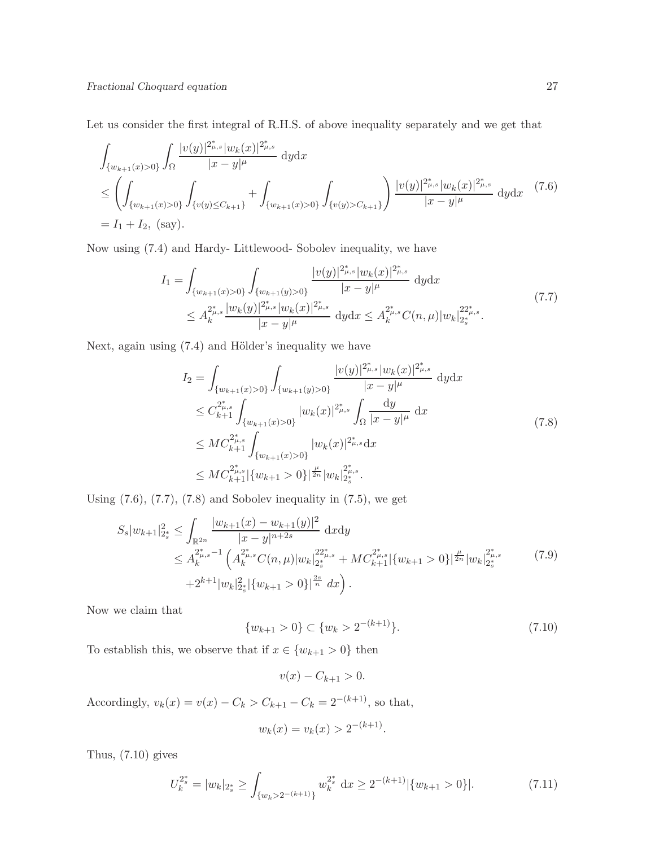Let us consider the first integral of R.H.S. of above inequality separately and we get that

$$
\int_{\{w_{k+1}(x)>0\}} \int_{\Omega} \frac{|v(y)|^{2_{\mu,s}^*} |w_k(x)|^{2_{\mu,s}^*}}{|x-y|^{\mu}} dydx
$$
\n
$$
\leq \left(\int_{\{w_{k+1}(x)>0\}} \int_{\{v(y)\leq C_{k+1}\}} + \int_{\{w_{k+1}(x)>0\}} \int_{\{v(y)>C_{k+1}\}} \frac{|v(y)|^{2_{\mu,s}^*} |w_k(x)|^{2_{\mu,s}^*}}{|x-y|^{\mu}} dydx \quad (7.6)
$$
\n
$$
= I_1 + I_2, \text{ (say)}.
$$

Now using (7.4) and Hardy- Littlewood- Sobolev inequality, we have

$$
I_{1} = \int_{\{w_{k+1}(x) > 0\}} \int_{\{w_{k+1}(y) > 0\}} \frac{|v(y)|^{2_{\mu,s}^{*}} |w_{k}(x)|^{2_{\mu,s}^{*}}}{|x - y|^{\mu}} dy dx
$$
  
 
$$
\leq A_{k}^{2_{\mu,s}^{*}} \frac{|w_{k}(y)|^{2_{\mu,s}^{*}} |w_{k}(x)|^{2_{\mu,s}^{*}}}{|x - y|^{\mu}} dy dx \leq A_{k}^{2_{\mu,s}^{*}} C(n,\mu) |w_{k}|^{22_{\mu,s}^{*}}_{2_{s}^{*}}.
$$
 (7.7)

Next, again using  $(7.4)$  and Hölder's inequality we have

$$
I_{2} = \int_{\{w_{k+1}(x) > 0\}} \int_{\{w_{k+1}(y) > 0\}} \frac{|v(y)|^{2_{\mu,s}^{*}}|w_{k}(x)|^{2_{\mu,s}^{*}}}{|x - y|^{\mu}} dydx
$$
  
\n
$$
\leq C_{k+1}^{2_{\mu,s}^{*}} \int_{\{w_{k+1}(x) > 0\}} |w_{k}(x)|^{2_{\mu,s}^{*}} \int_{\Omega} \frac{dy}{|x - y|^{\mu}} dx
$$
  
\n
$$
\leq MC_{k+1}^{2_{\mu,s}^{*}} \int_{\{w_{k+1}(x) > 0\}} |w_{k}(x)|^{2_{\mu,s}^{*}} dx
$$
  
\n
$$
\leq MC_{k+1}^{2_{\mu,s}^{*}} |\{w_{k+1} > 0\}|^{\frac{\mu}{2n}} |w_{k}|^{2_{\mu,s}^{*}}_{2_{\mu,s}^{*}}.
$$
\n(7.8)

Using  $(7.6)$ ,  $(7.7)$ ,  $(7.8)$  and Sobolev inequality in  $(7.5)$ , we get

$$
S_s|w_{k+1}|_{2_s^*}^2 \leq \int_{\mathbb{R}^{2n}} \frac{|w_{k+1}(x) - w_{k+1}(y)|^2}{|x - y|^{n+2s}} dxdy
$$
  
\n
$$
\leq A_k^{2_{\mu,s}^* - 1} \left( A_k^{2_{\mu,s}^*} C(n,\mu) |w_k|_{2_s^*}^{22_{\mu,s}^*} + MC_{k+1}^{2_{\mu,s}^*} |\{w_{k+1} > 0\}|_{2_s^*}^{\frac{\mu}{2n}} |w_k|_{2_s^*}^{2_{\mu,s}^*} \right)
$$
\n
$$
+ 2^{k+1} |w_k|_{2_s^*}^2 |\{w_{k+1} > 0\}|_{\frac{2s}{n}}^{\frac{2s}{n}} dx \right).
$$
\n
$$
(7.9)
$$

Now we claim that

$$
\{w_{k+1} > 0\} \subset \{w_k > 2^{-(k+1)}\}.
$$
\n(7.10)

To establish this, we observe that if  $x\in\{w_{k+1}>0\}$  then

$$
v(x) - C_{k+1} > 0.
$$

Accordingly,  $v_k(x) = v(x) - C_k > C_{k+1} - C_k = 2^{-(k+1)}$ , so that,

$$
w_k(x) = v_k(x) > 2^{-(k+1)}.
$$

Thus, (7.10) gives

$$
U_k^{2^*} = |w_k|_{2^*} \ge \int_{\{w_k > 2^{-(k+1)}\}} w_k^{2^*} \, \mathrm{d}x \ge 2^{-(k+1)} |\{w_{k+1} > 0\}|. \tag{7.11}
$$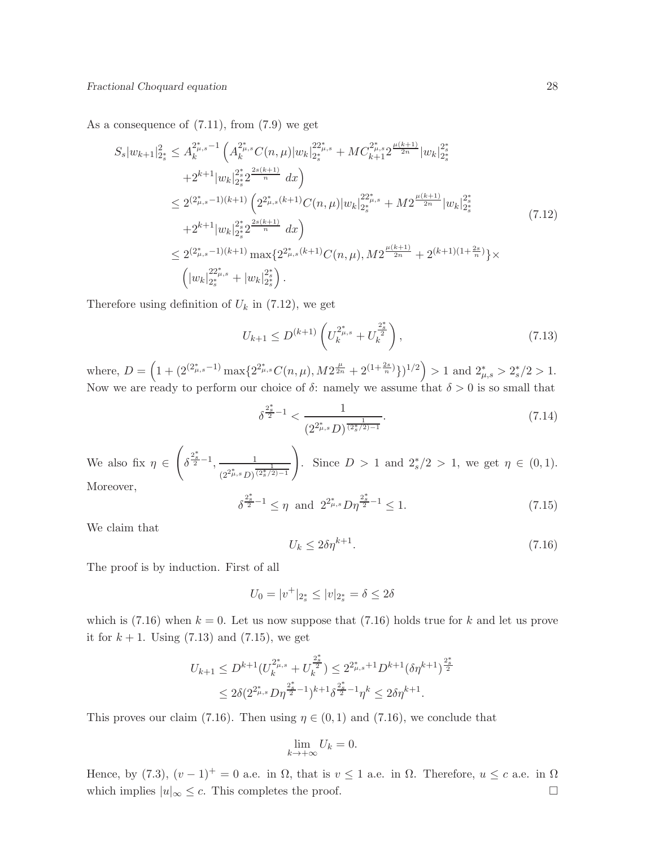As a consequence of (7.11), from (7.9) we get

$$
S_{s}|w_{k+1}|_{2_{s}^{*}}^{2} \leq A_{k}^{2_{\mu,s}^{*}-1} \left( A_{k}^{2_{\mu,s}^{*}} C(n,\mu)|w_{k}|_{2_{s}^{*}}^{22_{\mu,s}^{*}} + MC_{k+1}^{2_{\mu,s}^{*}} 2^{\frac{\mu(k+1)}{2n}} |w_{k}|_{2_{s}^{*}}^{2_{\mu}^{*}} + 2^{k+1}|w_{k}|_{2_{s}^{*}}^{2_{\mu}^{*}} 2^{\frac{2s(k+1)}{n}} dx \right)
$$
  
\n
$$
\leq 2^{(2_{\mu,s}^{*}-1)(k+1)} \left( 2^{2_{\mu,s}^{*}(k+1)} C(n,\mu)|w_{k}|_{2_{s}^{*}}^{22_{\mu}^{*}} + M2^{\frac{\mu(k+1)}{2n}} |w_{k}|_{2_{s}^{*}}^{2_{\mu}^{*}} + 2^{k+1}|w_{k}|_{2_{s}^{*}}^{2_{\mu}^{*}} 2^{\frac{2s(k+1)}{n}} dx \right)
$$
  
\n
$$
\leq 2^{(2_{\mu,s}^{*}-1)(k+1)} \max\{ 2^{2_{\mu,s}^{*}(k+1)} C(n,\mu), M2^{\frac{\mu(k+1)}{2n}} + 2^{(k+1)(1+\frac{2s}{n})} \} \times
$$
  
\n
$$
\left( |w_{k}|_{2_{s}^{*}}^{22_{\mu,s}^{*}} + |w_{k}|_{2_{s}^{*}}^{2_{\mu}^{*}} \right).
$$
  
\n(7.12)

Therefore using definition of  $U_k$  in (7.12), we get

$$
U_{k+1} \le D^{(k+1)} \left( U_k^{2^*_{\mu,s}} + U_k^{\frac{2^*_{s}}{2}} \right),\tag{7.13}
$$

where,  $D = \left(1 + \left(2^{\left(2^*_{\mu,s}-1\right)}\max\{2^{2^*_{\mu,s}}C(n,\mu), M2^{\frac{\mu}{2n}} + 2^{\left(1+\frac{2s}{n}\right)}\}\right)^{1/2}\right) > 1$  and  $2^*_{\mu,s} > 2^*_s/2 > 1$ . Now we are ready to perform our choice of  $\delta$ : namely we assume that  $\delta > 0$  is so small that

$$
\delta^{\frac{2^*}{2}-1} < \frac{1}{(2^{2^*_{\mu,s}}D)^{\frac{1}{(2^*_{s}/2)-1}}}.\tag{7.14}
$$

We also fix  $\eta \in$  $\sqrt{ }$  $\delta^{\frac{2_s^*}{2}-1}, \frac{1}{\cdots}$  $\frac{1}{(2^2\mu,s\,D)^{\frac{1}{(2^*_s/2)-1}}}$ ! Since  $D > 1$  and  $2_s^*/2 > 1$ , we get  $\eta \in (0,1)$ . Moreover, ∗ ∗

$$
\delta^{\frac{2_s^*}{2}-1} \le \eta \text{ and } 2^{2_{\mu,s}^*} D\eta^{\frac{2_s^*}{2}-1} \le 1. \tag{7.15}
$$

We claim that

$$
U_k \le 2\delta \eta^{k+1}.\tag{7.16}
$$

The proof is by induction. First of all

$$
U_0 = |v^+|_{2^*_s} \le |v|_{2^*_s} = \delta \le 2\delta
$$

which is  $(7.16)$  when  $k = 0$ . Let us now suppose that  $(7.16)$  holds true for k and let us prove it for  $k + 1$ . Using (7.13) and (7.15), we get

$$
U_{k+1} \le D^{k+1} (U_k^{2^*_{\mu,s}} + U_k^{\frac{2^*_{s}}{2}}) \le 2^{2^*_{\mu,s}+1} D^{k+1} (\delta \eta^{k+1})^{\frac{2^*_{s}}{2}}
$$
  

$$
\le 2\delta (2^{2^*_{\mu,s}} D \eta^{\frac{2^*_{s}}{2}-1})^{k+1} \delta^{\frac{2^*_{s}}{2}-1} \eta^k \le 2\delta \eta^{k+1}.
$$

This proves our claim (7.16). Then using  $\eta \in (0,1)$  and (7.16), we conclude that

$$
\lim_{k \to +\infty} U_k = 0.
$$

Hence, by (7.3),  $(v-1)^{+} = 0$  a.e. in  $\Omega$ , that is  $v \le 1$  a.e. in  $\Omega$ . Therefore,  $u \le c$  a.e. in  $\Omega$ which implies  $|u|_{\infty} \leq c$ . This completes the proof.  $\Box$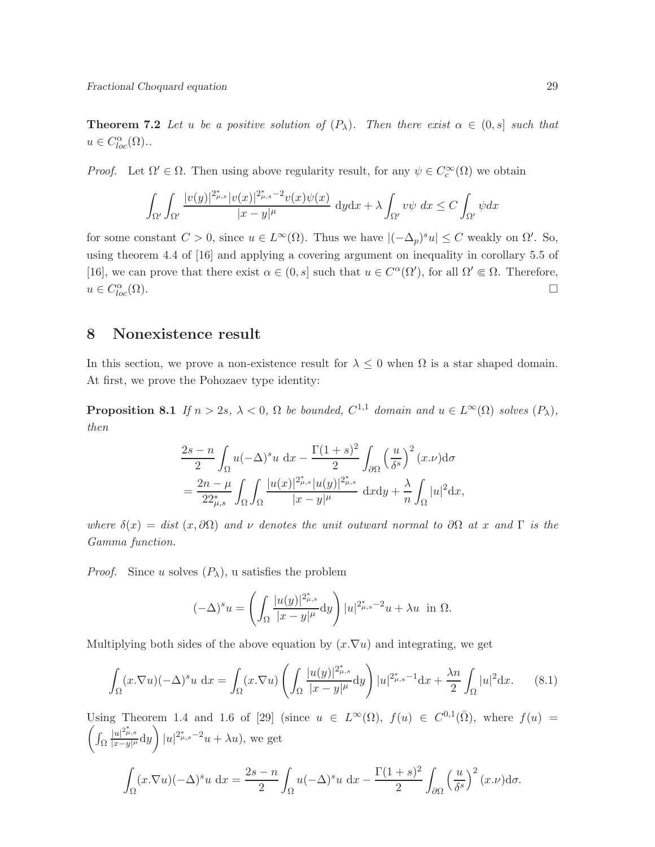**Theorem 7.2** Let u be a positive solution of  $(P_\lambda)$ . Then there exist  $\alpha \in (0, s]$  such that  $u \in C^{\alpha}_{loc}(\Omega)$ ..

*Proof.* Let  $\Omega' \in \Omega$ . Then using above regularity result, for any  $\psi \in C_c^{\infty}(\Omega)$  we obtain

$$
\int_{\Omega'}\int_{\Omega'}\frac{|v(y)|^{2_{\mu,s}^{\ast}}|v(x)|^{2_{\mu,s}^{\ast}-2}v(x)\psi(x)}{|x-y|^{\mu}}\;{\rm d}y{\rm d}x+\lambda\int_{\Omega'}v\psi\;dx\leq C\int_{\Omega'}\psi dx
$$

for some constant  $C > 0$ , since  $u \in L^{\infty}(\Omega)$ . Thus we have  $|(-\Delta_p)^s u| \leq C$  weakly on  $\Omega'$ . So, using theorem 4.4 of [16] and applying a covering argument on inequality in corollary 5.5 of [16], we can prove that there exist  $\alpha \in (0, s]$  such that  $u \in C^{\alpha}(\Omega')$ , for all  $\Omega' \subseteq \Omega$ . Therefore,  $u \in C_{l_0}^{\alpha}$  $\int_{loc}^{\alpha}(\Omega).$ 

## 8 Nonexistence result

In this section, we prove a non-existence result for  $\lambda \leq 0$  when  $\Omega$  is a star shaped domain. At first, we prove the Pohozaev type identity:

**Proposition 8.1** If  $n > 2s$ ,  $\lambda < 0$ ,  $\Omega$  be bounded,  $C^{1,1}$  domain and  $u \in L^{\infty}(\Omega)$  solves  $(P_{\lambda})$ , then

$$
\frac{2s-n}{2} \int_{\Omega} u(-\Delta)^s u \, dx - \frac{\Gamma(1+s)^2}{2} \int_{\partial\Omega} \left(\frac{u}{\delta^s}\right)^2 (x \cdot \nu) d\sigma
$$

$$
= \frac{2n-\mu}{22^*_{\mu,s}} \int_{\Omega} \int_{\Omega} \frac{|u(x)|^{2^*_{\mu,s}} |u(y)|^{2^*_{\mu,s}}}{|x-y|^{\mu}} \, dxdy + \frac{\lambda}{n} \int_{\Omega} |u|^2 dx,
$$

where  $\delta(x) = dist(x, \partial\Omega)$  and v denotes the unit outward normal to  $\partial\Omega$  at x and  $\Gamma$  is the Gamma function.

*Proof.* Since u solves  $(P_{\lambda})$ , u satisfies the problem

$$
(-\Delta)^s u = \left(\int_{\Omega} \frac{|u(y)|^{2_{\mu,s}^*}}{|x-y|^{\mu}} dy\right) |u|^{2_{\mu,s}^* - 2} u + \lambda u \text{ in } \Omega.
$$

Multiplying both sides of the above equation by  $(x.\nabla u)$  and integrating, we get

$$
\int_{\Omega} (x.\nabla u)(-\Delta)^s u \, \mathrm{d}x = \int_{\Omega} (x.\nabla u) \left( \int_{\Omega} \frac{|u(y)|^{2^*_{\mu,s}}}{|x-y|^{\mu}} \mathrm{d}y \right) |u|^{2^*_{\mu,s}-1} \mathrm{d}x + \frac{\lambda n}{2} \int_{\Omega} |u|^2 \mathrm{d}x. \tag{8.1}
$$

Using Theorem 1.4 and 1.6 of [29] (since  $u \in L^{\infty}(\Omega)$ ,  $f(u) \in C^{0,1}(\overline{\Omega})$ , where  $f(u) =$  $\int\int_{\Omega}$  $\frac{|u|^{2_{\mu,s}^*}}{|x-y|^\mu}$ dy  $\setminus$  $|u|^{2_{\mu,s}^*-2}u + \lambda u$ , we get

$$
\int_{\Omega} (x \cdot \nabla u)(-\Delta)^s u \, \mathrm{d}x = \frac{2s - n}{2} \int_{\Omega} u(-\Delta)^s u \, \mathrm{d}x - \frac{\Gamma(1+s)^2}{2} \int_{\partial \Omega} \left(\frac{u}{\delta^s}\right)^2 (x \cdot \nu) \mathrm{d}\sigma.
$$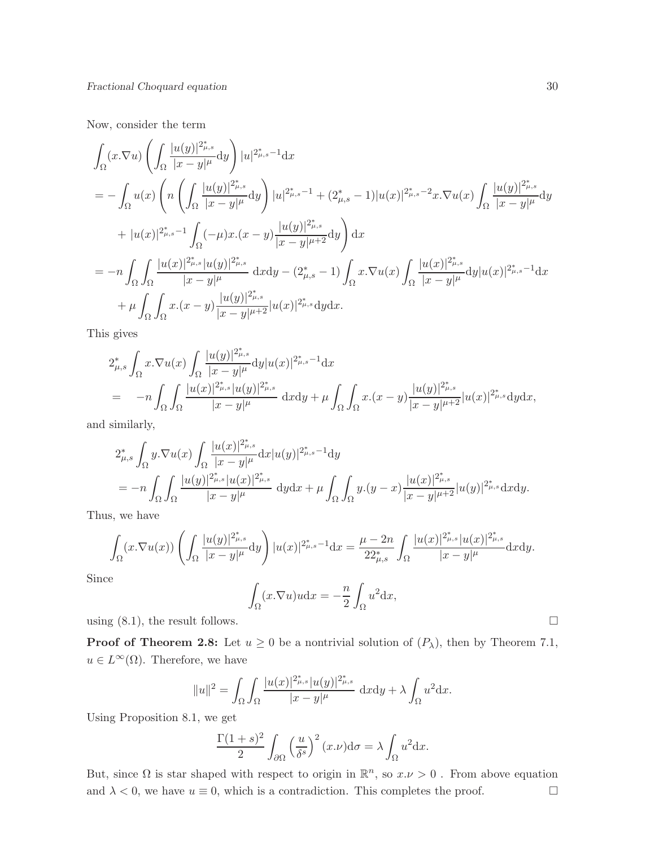Now, consider the term

$$
\int_{\Omega} (x \cdot \nabla u) \left( \int_{\Omega} \frac{|u(y)|^{2_{\mu,s}^*}}{|x - y|^{\mu}} dy \right) |u|^{2_{\mu,s}^* - 1} dx
$$
\n
$$
= - \int_{\Omega} u(x) \left( n \left( \int_{\Omega} \frac{|u(y)|^{2_{\mu,s}^*}}{|x - y|^{\mu}} dy \right) |u|^{2_{\mu,s}^* - 1} + (2_{\mu,s}^* - 1)|u(x)|^{2_{\mu,s}^* - 2} x \cdot \nabla u(x) \int_{\Omega} \frac{|u(y)|^{2_{\mu,s}^*}}{|x - y|^{\mu}} dy \right) \right. \\ \left. + |u(x)|^{2_{\mu,s}^* - 1} \int_{\Omega} (-\mu) x \cdot (x - y) \frac{|u(y)|^{2_{\mu,s}^*}}{|x - y|^{\mu + 2}} dy \right) dx
$$
\n
$$
= -n \int_{\Omega} \int_{\Omega} \frac{|u(x)|^{2_{\mu,s}^*} |u(y)|^{2_{\mu,s}^*}}{|x - y|^{\mu}} dx dy - (2_{\mu,s}^* - 1) \int_{\Omega} x \cdot \nabla u(x) \int_{\Omega} \frac{|u(x)|^{2_{\mu,s}^*}}{|x - y|^{\mu}} dy |u(x)|^{2_{\mu,s}^* - 1} dx
$$
\n
$$
+ \mu \int_{\Omega} \int_{\Omega} x \cdot (x - y) \frac{|u(y)|^{2_{\mu,s}^*}}{|x - y|^{\mu + 2}} |u(x)|^{2_{\mu,s}^*} dy dx.
$$

This gives

$$
2_{\mu,s}^* \int_{\Omega} x \cdot \nabla u(x) \int_{\Omega} \frac{|u(y)|^{2_{\mu,s}^*}}{|x-y|^{\mu}} dy |u(x)|^{2_{\mu,s}^* - 1} dx
$$
  
=  $-n \int_{\Omega} \int_{\Omega} \frac{|u(x)|^{2_{\mu,s}^*} |u(y)|^{2_{\mu,s}^*}}{|x-y|^{\mu}} dx dy + \mu \int_{\Omega} \int_{\Omega} x \cdot (x-y) \frac{|u(y)|^{2_{\mu,s}^*}}{|x-y|^{\mu+2}} |u(x)|^{2_{\mu,s}^*} dy dx,$ 

and similarly,

$$
2_{\mu,s}^* \int_{\Omega} y. \nabla u(x) \int_{\Omega} \frac{|u(x)|^{2_{\mu,s}^*}}{|x-y|^{\mu}} dx |u(y)|^{2_{\mu,s}^* - 1} dy
$$
  
=  $-n \int_{\Omega} \int_{\Omega} \frac{|u(y)|^{2_{\mu,s}^*} |u(x)|^{2_{\mu,s}^*}}{|x-y|^{\mu}} dy dx + \mu \int_{\Omega} \int_{\Omega} y.(y-x) \frac{|u(x)|^{2_{\mu,s}^*}}{|x-y|^{\mu+2}} |u(y)|^{2_{\mu,s}^*} dx dy.$ 

Thus, we have

$$
\int_{\Omega} (x \cdot \nabla u(x)) \left( \int_{\Omega} \frac{|u(y)|^{2_{\mu,s}^*}}{|x - y|^{\mu}} dy \right) |u(x)|^{2_{\mu,s}^* - 1} dx = \frac{\mu - 2n}{22_{\mu,s}^*} \int_{\Omega} \frac{|u(x)|^{2_{\mu,s}^*} |u(x)|^{2_{\mu,s}^*}}{|x - y|^{\mu}} dx dy.
$$

Since

$$
\int_{\Omega} (x.\nabla u)u \mathrm{d}x = -\frac{n}{2} \int_{\Omega} u^2 \mathrm{d}x,
$$

using  $(8.1)$ , the result follows.

**Proof of Theorem 2.8:** Let  $u \ge 0$  be a nontrivial solution of  $(P_\lambda)$ , then by Theorem 7.1,  $u \in L^{\infty}(\Omega)$ . Therefore, we have

$$
||u||^{2} = \int_{\Omega} \int_{\Omega} \frac{|u(x)|^{2_{\mu,s}^{*}}|u(y)|^{2_{\mu,s}^{*}}}{|x - y|^{\mu}} dxdy + \lambda \int_{\Omega} u^{2} dx.
$$

Using Proposition 8.1, we get

$$
\frac{\Gamma(1+s)^2}{2} \int_{\partial\Omega} \left(\frac{u}{\delta^s}\right)^2 (x \cdot \nu) d\sigma = \lambda \int_{\Omega} u^2 dx.
$$

But, since  $\Omega$  is star shaped with respect to origin in  $\mathbb{R}^n$ , so  $x.\nu > 0$ . From above equation and  $\lambda < 0$ , we have  $u \equiv 0$ , which is a contradiction. This completes the proof.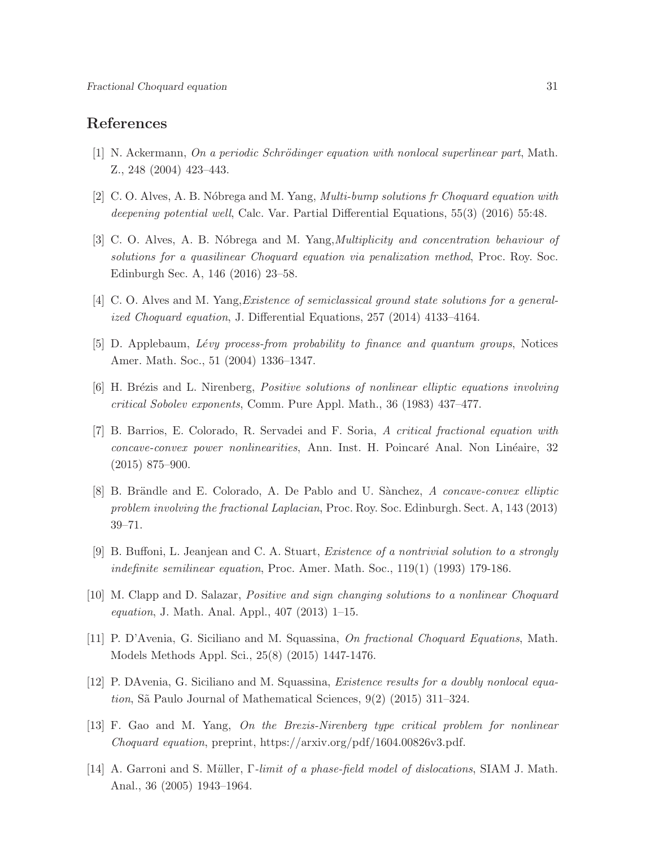## References

- [1] N. Ackermann, On a periodic Schrödinger equation with nonlocal superlinear part, Math. Z., 248 (2004) 423–443.
- [2] C. O. Alves, A. B. N´obrega and M. Yang, Multi-bump solutions fr Choquard equation with deepening potential well, Calc. Var. Partial Differential Equations, 55(3) (2016) 55:48.
- [3] C. O. Alves, A. B. Nóbrega and M. Yang, *Multiplicity and concentration behaviour of* solutions for a quasilinear Choquard equation via penalization method, Proc. Roy. Soc. Edinburgh Sec. A, 146 (2016) 23–58.
- [4] C. O. Alves and M. Yang,Existence of semiclassical ground state solutions for a generalized Choquard equation, J. Differential Equations, 257 (2014) 4133–4164.
- [5] D. Applebaum, *Lévy process-from probability to finance and quantum groups*, Notices Amer. Math. Soc., 51 (2004) 1336–1347.
- [6] H. Brézis and L. Nirenberg, *Positive solutions of nonlinear elliptic equations involving* critical Sobolev exponents, Comm. Pure Appl. Math., 36 (1983) 437–477.
- [7] B. Barrios, E. Colorado, R. Servadei and F. Soria, A critical fractional equation with concave-convex power nonlinearities, Ann. Inst. H. Poincaré Anal. Non Linéaire, 32 (2015) 875–900.
- [8] B. Brändle and E. Colorado, A. De Pablo and U. Sànchez, A concave-convex elliptic problem involving the fractional Laplacian, Proc. Roy. Soc. Edinburgh. Sect. A, 143 (2013) 39–71.
- [9] B. Buffoni, L. Jeanjean and C. A. Stuart, Existence of a nontrivial solution to a strongly indefinite semilinear equation, Proc. Amer. Math. Soc., 119(1) (1993) 179-186.
- [10] M. Clapp and D. Salazar, Positive and sign changing solutions to a nonlinear Choquard *equation*, J. Math. Anal. Appl.,  $407$  (2013) 1–15.
- [11] P. D'Avenia, G. Siciliano and M. Squassina, On fractional Choquard Equations, Math. Models Methods Appl. Sci., 25(8) (2015) 1447-1476.
- [12] P. DAvenia, G. Siciliano and M. Squassina, Existence results for a doubly nonlocal equation, Sã Paulo Journal of Mathematical Sciences,  $9(2)$  (2015) 311–324.
- [13] F. Gao and M. Yang, On the Brezis-Nirenberg type critical problem for nonlinear Choquard equation, preprint, https://arxiv.org/pdf/1604.00826v3.pdf.
- [14] A. Garroni and S. Müller, Γ-limit of a phase-field model of dislocations, SIAM J. Math. Anal., 36 (2005) 1943–1964.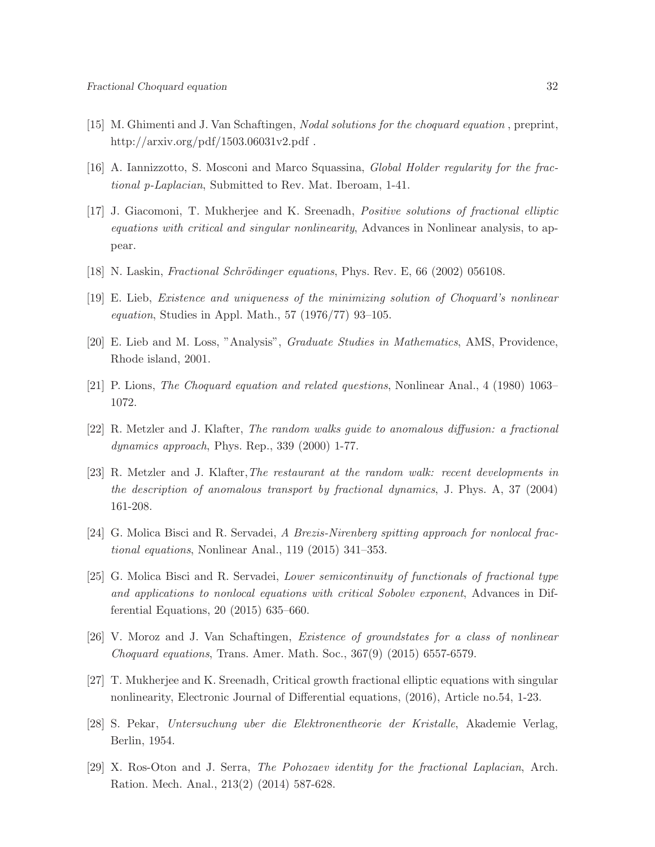- [15] M. Ghimenti and J. Van Schaftingen, Nodal solutions for the choquard equation , preprint, http://arxiv.org/pdf/1503.06031v2.pdf .
- [16] A. Iannizzotto, S. Mosconi and Marco Squassina, Global Holder regularity for the fractional p-Laplacian, Submitted to Rev. Mat. Iberoam, 1-41.
- [17] J. Giacomoni, T. Mukherjee and K. Sreenadh, Positive solutions of fractional elliptic equations with critical and singular nonlinearity. Advances in Nonlinear analysis, to appear.
- $[18]$  N. Laskin, *Fractional Schrödinger equations*, Phys. Rev. E, 66  $(2002)$  056108.
- [19] E. Lieb, Existence and uniqueness of the minimizing solution of Choquard's nonlinear *equation*, Studies in Appl. Math., 57 (1976/77) 93-105.
- [20] E. Lieb and M. Loss, "Analysis", Graduate Studies in Mathematics, AMS, Providence, Rhode island, 2001.
- [21] P. Lions, The Choquard equation and related questions, Nonlinear Anal., 4 (1980) 1063– 1072.
- [22] R. Metzler and J. Klafter, The random walks quide to anomalous diffusion: a fractional  $dynamics approach, Phys. Rep., 339 (2000) 1-77.$
- [23] R. Metzler and J. Klafter,The restaurant at the random walk: recent developments in the description of anomalous transport by fractional dynamics, J. Phys. A, 37 (2004) 161-208.
- [24] G. Molica Bisci and R. Servadei, A Brezis-Nirenberg spitting approach for nonlocal fractional equations, Nonlinear Anal., 119 (2015) 341–353.
- [25] G. Molica Bisci and R. Servadei, Lower semicontinuity of functionals of fractional type and applications to nonlocal equations with critical Sobolev exponent, Advances in Differential Equations, 20 (2015) 635–660.
- [26] V. Moroz and J. Van Schaftingen, Existence of groundstates for a class of nonlinear Choquard equations, Trans. Amer. Math. Soc., 367(9) (2015) 6557-6579.
- [27] T. Mukherjee and K. Sreenadh, Critical growth fractional elliptic equations with singular nonlinearity, Electronic Journal of Differential equations, (2016), Article no.54, 1-23.
- [28] S. Pekar, Untersuchung uber die Elektronentheorie der Kristalle, Akademie Verlag, Berlin, 1954.
- [29] X. Ros-Oton and J. Serra, The Pohozaev identity for the fractional Laplacian, Arch. Ration. Mech. Anal., 213(2) (2014) 587-628.